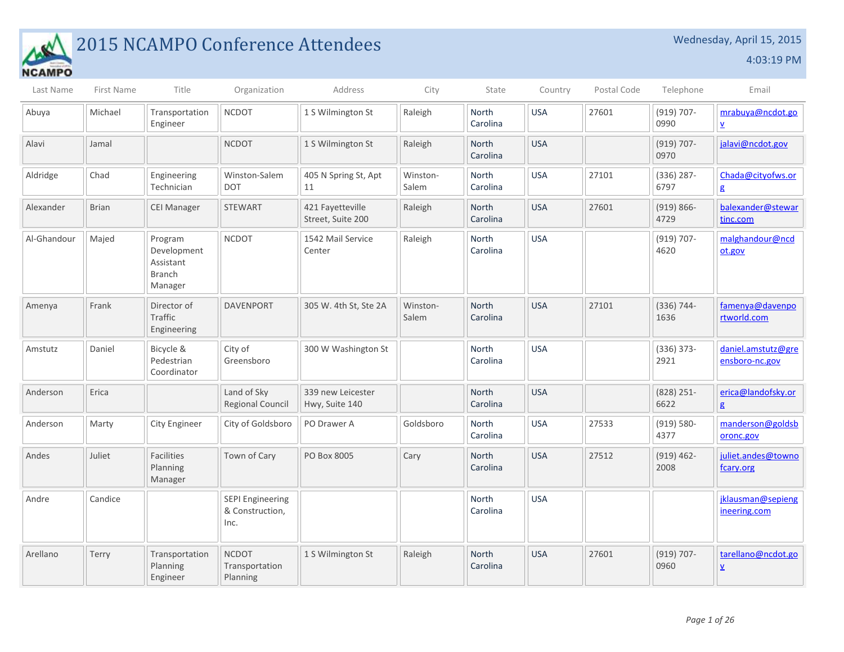

## 2015 NCAMPO Conference Attendees Wednesday, April 15, 2015

4:03:19 PM

| Last Name   | First Name   | Title                                                           | Organization                                       | Address                               | City              | State                    | Country    | Postal Code | Telephone             | Email                                          |
|-------------|--------------|-----------------------------------------------------------------|----------------------------------------------------|---------------------------------------|-------------------|--------------------------|------------|-------------|-----------------------|------------------------------------------------|
| Abuya       | Michael      | Transportation<br>Engineer                                      | <b>NCDOT</b>                                       | 1 S Wilmington St                     | Raleigh           | North<br>Carolina        | <b>USA</b> | 27601       | $(919) 707 -$<br>0990 | mrabuya@ncdot.go<br>$\underline{\mathsf{v}}$   |
| Alavi       | Jamal        |                                                                 | <b>NCDOT</b>                                       | 1 S Wilmington St                     | Raleigh           | North<br>Carolina        | <b>USA</b> |             | $(919) 707 -$<br>0970 | jalavi@ncdot.gov                               |
| Aldridge    | Chad         | Engineering<br>Technician                                       | Winston-Salem<br><b>DOT</b>                        | 405 N Spring St, Apt<br>11            | Winston-<br>Salem | North<br>Carolina        | <b>USA</b> | 27101       | $(336)$ 287-<br>6797  | Chada@cityofws.or<br>g                         |
| Alexander   | <b>Brian</b> | <b>CEI Manager</b>                                              | <b>STEWART</b>                                     | 421 Fayetteville<br>Street, Suite 200 | Raleigh           | <b>North</b><br>Carolina | <b>USA</b> | 27601       | $(919) 866 -$<br>4729 | balexander@stewar<br>tinc.com                  |
| Al-Ghandour | Majed        | Program<br>Development<br>Assistant<br><b>Branch</b><br>Manager | <b>NCDOT</b>                                       | 1542 Mail Service<br>Center           | Raleigh           | North<br>Carolina        | <b>USA</b> |             | $(919) 707 -$<br>4620 | malghandour@ncd<br>ot.gov                      |
| Amenya      | Frank        | Director of<br>Traffic<br>Engineering                           | <b>DAVENPORT</b>                                   | 305 W. 4th St, Ste 2A                 | Winston-<br>Salem | North<br>Carolina        | <b>USA</b> | 27101       | $(336) 744 -$<br>1636 | famenya@davenpo<br>rtworld.com                 |
| Amstutz     | Daniel       | Bicycle &<br>Pedestrian<br>Coordinator                          | City of<br>Greensboro                              | 300 W Washington St                   |                   | <b>North</b><br>Carolina | <b>USA</b> |             | $(336) 373 -$<br>2921 | daniel.amstutz@gre<br>ensboro-nc.gov           |
| Anderson    | Erica        |                                                                 | Land of Sky<br><b>Regional Council</b>             | 339 new Leicester<br>Hwy, Suite 140   |                   | North<br>Carolina        | <b>USA</b> |             | $(828)$ 251-<br>6622  | erica@landofsky.or<br>$\mathbf{g}$             |
| Anderson    | Marty        | <b>City Engineer</b>                                            | City of Goldsboro                                  | PO Drawer A                           | Goldsboro         | North<br>Carolina        | <b>USA</b> | 27533       | $(919) 580 -$<br>4377 | manderson@goldsb<br>oronc.gov                  |
| Andes       | Juliet       | Facilities<br>Planning<br>Manager                               | Town of Cary                                       | PO Box 8005                           | Cary              | North<br>Carolina        | <b>USA</b> | 27512       | $(919) 462 -$<br>2008 | juliet.andes@towno<br>fcary.org                |
| Andre       | Candice      |                                                                 | <b>SEPI Engineering</b><br>& Construction,<br>Inc. |                                       |                   | North<br>Carolina        | <b>USA</b> |             |                       | jklausman@sepieng<br>ineering.com              |
| Arellano    | Terry        | Transportation<br>Planning<br>Engineer                          | <b>NCDOT</b><br>Transportation<br>Planning         | 1 S Wilmington St                     | Raleigh           | North<br>Carolina        | <b>USA</b> | 27601       | $(919) 707 -$<br>0960 | tarellano@ncdot.go<br>$\underline{\mathsf{v}}$ |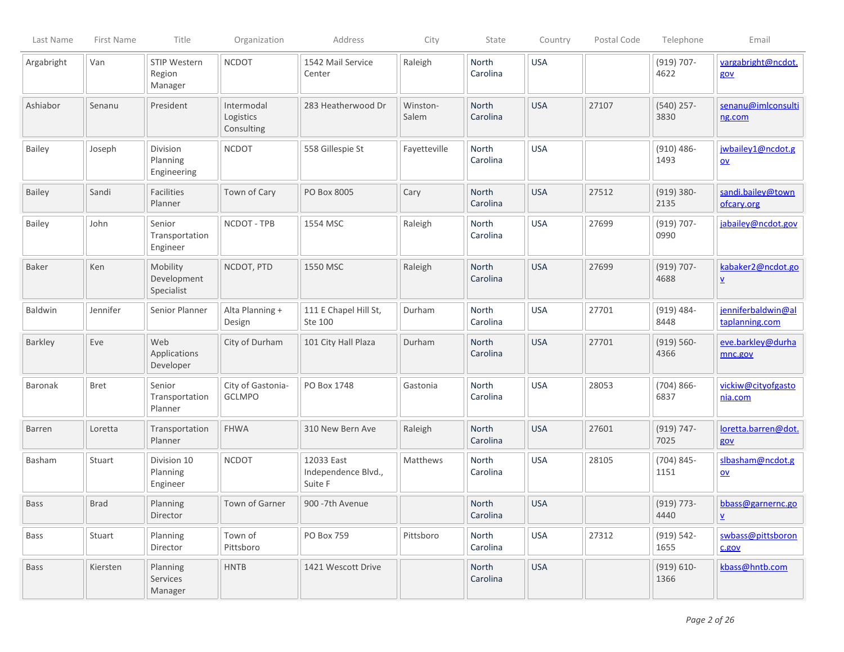| Last Name     | First Name  | Title                                 | Organization                          | Address                                      | City              | State                    | Country    | Postal Code | Telephone             | Email                                          |
|---------------|-------------|---------------------------------------|---------------------------------------|----------------------------------------------|-------------------|--------------------------|------------|-------------|-----------------------|------------------------------------------------|
| Argabright    | Van         | STIP Western<br>Region<br>Manager     | <b>NCDOT</b>                          | 1542 Mail Service<br>Center                  | Raleigh           | North<br>Carolina        | <b>USA</b> |             | $(919) 707 -$<br>4622 | vargabright@ncdot.<br>gov                      |
| Ashiabor      | Senanu      | President                             | Intermodal<br>Logistics<br>Consulting | 283 Heatherwood Dr                           | Winston-<br>Salem | North<br>Carolina        | <b>USA</b> | 27107       | $(540)$ 257-<br>3830  | senanu@imlconsulti<br>ng.com                   |
| <b>Bailey</b> | Joseph      | Division<br>Planning<br>Engineering   | <b>NCDOT</b>                          | 558 Gillespie St                             | Fayetteville      | North<br>Carolina        | <b>USA</b> |             | $(910) 486 -$<br>1493 | jwbailey1@ncdot.g<br>$\underline{\mathsf{ov}}$ |
| <b>Bailey</b> | Sandi       | <b>Facilities</b><br>Planner          | Town of Cary                          | PO Box 8005                                  | Cary              | North<br>Carolina        | <b>USA</b> | 27512       | $(919) 380 -$<br>2135 | sandi.bailey@town<br>ofcary.org                |
| Bailey        | John        | Senior<br>Transportation<br>Engineer  | NCDOT - TPB                           | 1554 MSC                                     | Raleigh           | North<br>Carolina        | <b>USA</b> | 27699       | $(919) 707 -$<br>0990 | jabailey@ncdot.gov                             |
| Baker         | Ken         | Mobility<br>Development<br>Specialist | NCDOT, PTD                            | 1550 MSC                                     | Raleigh           | <b>North</b><br>Carolina | <b>USA</b> | 27699       | $(919) 707 -$<br>4688 | kabaker2@ncdot.go<br>$\underline{\mathsf{v}}$  |
| Baldwin       | Jennifer    | Senior Planner                        | Alta Planning +<br>Design             | 111 E Chapel Hill St,<br>Ste 100             | Durham            | North<br>Carolina        | <b>USA</b> | 27701       | $(919) 484 -$<br>8448 | jenniferbaldwin@al<br>taplanning.com           |
| Barkley       | Eve         | Web<br>Applications<br>Developer      | City of Durham                        | 101 City Hall Plaza                          | Durham            | North<br>Carolina        | <b>USA</b> | 27701       | $(919) 560 -$<br>4366 | eve.barkley@durha<br>mnc.gov                   |
| Baronak       | <b>Bret</b> | Senior<br>Transportation<br>Planner   | City of Gastonia-<br>GCLMPO           | PO Box 1748                                  | Gastonia          | North<br>Carolina        | <b>USA</b> | 28053       | $(704)866-$<br>6837   | vickiw@cityofgasto<br>nia.com                  |
| <b>Barren</b> | Loretta     | Transportation<br>Planner             | <b>FHWA</b>                           | 310 New Bern Ave                             | Raleigh           | North<br>Carolina        | <b>USA</b> | 27601       | $(919) 747 -$<br>7025 | loretta.barren@dot.<br>gov                     |
| Basham        | Stuart      | Division 10<br>Planning<br>Engineer   | <b>NCDOT</b>                          | 12033 East<br>Independence Blvd.,<br>Suite F | Matthews          | North<br>Carolina        | <b>USA</b> | 28105       | $(704) 845 -$<br>1151 | slbasham@ncdot.g<br>$\underline{\mathsf{ov}}$  |
| <b>Bass</b>   | <b>Brad</b> | Planning<br>Director                  | Town of Garner                        | 900 - 7th Avenue                             |                   | North<br>Carolina        | <b>USA</b> |             | $(919) 773-$<br>4440  | bbass@garnernc.go<br>$\underline{\mathsf{v}}$  |
| Bass          | Stuart      | Planning<br>Director                  | Town of<br>Pittsboro                  | PO Box 759                                   | Pittsboro         | North<br>Carolina        | <b>USA</b> | 27312       | $(919) 542 -$<br>1655 | swbass@pittsboron<br>c.gov                     |
| Bass          | Kiersten    | Planning<br>Services<br>Manager       | <b>HNTB</b>                           | 1421 Wescott Drive                           |                   | North<br>Carolina        | <b>USA</b> |             | $(919) 610-$<br>1366  | kbass@hntb.com                                 |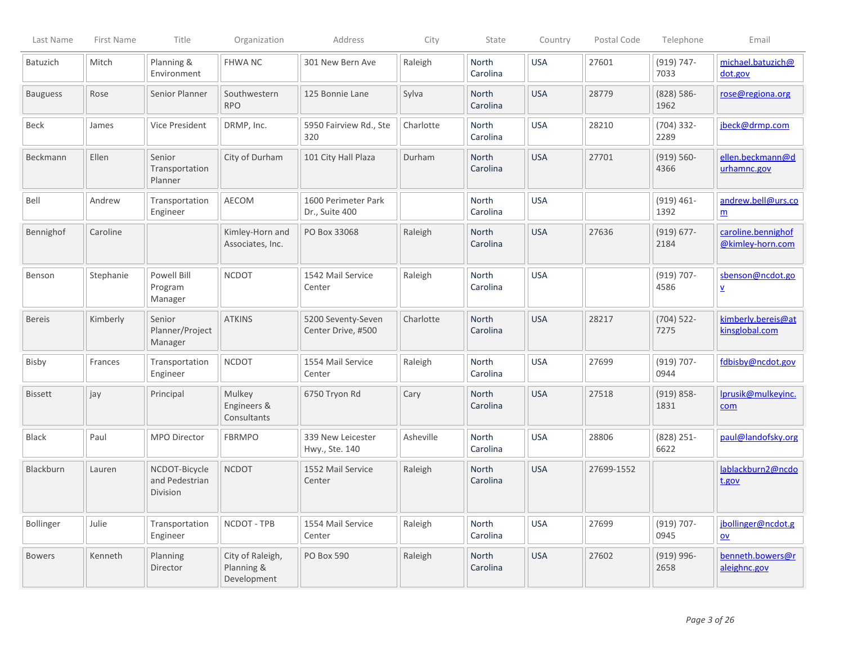| Last Name        | First Name | Title                                       | Organization                                  | Address                                  | City      | State                    | Country    | Postal Code | Telephone             | Email                                        |
|------------------|------------|---------------------------------------------|-----------------------------------------------|------------------------------------------|-----------|--------------------------|------------|-------------|-----------------------|----------------------------------------------|
| Batuzich         | Mitch      | Planning &<br>Environment                   | <b>FHWANC</b>                                 | 301 New Bern Ave                         | Raleigh   | North<br>Carolina        | <b>USA</b> | 27601       | $(919) 747 -$<br>7033 | michael.batuzich@<br>dot.gov                 |
| <b>Bauguess</b>  | Rose       | Senior Planner                              | Southwestern<br><b>RPO</b>                    | 125 Bonnie Lane                          | Sylva     | North<br>Carolina        | <b>USA</b> | 28779       | $(828) 586 -$<br>1962 | rose@regiona.org                             |
| Beck             | James      | Vice President                              | DRMP, Inc.                                    | 5950 Fairview Rd., Ste<br>320            | Charlotte | North<br>Carolina        | <b>USA</b> | 28210       | $(704)$ 332-<br>2289  | jbeck@drmp.com                               |
| Beckmann         | Ellen      | Senior<br>Transportation<br>Planner         | City of Durham                                | 101 City Hall Plaza                      | Durham    | North<br>Carolina        | <b>USA</b> | 27701       | $(919) 560 -$<br>4366 | ellen.beckmann@d<br>urhamnc.gov              |
| Bell             | Andrew     | Transportation<br>Engineer                  | AECOM                                         | 1600 Perimeter Park<br>Dr., Suite 400    |           | North<br>Carolina        | <b>USA</b> |             | $(919) 461 -$<br>1392 | andrew.bell@urs.co<br>$\underline{m}$        |
| Bennighof        | Caroline   |                                             | Kimley-Horn and<br>Associates, Inc.           | PO Box 33068                             | Raleigh   | <b>North</b><br>Carolina | <b>USA</b> | 27636       | $(919) 677 -$<br>2184 | caroline.bennighof<br>@kimley-horn.com       |
| Benson           | Stephanie  | Powell Bill<br>Program<br>Manager           | <b>NCDOT</b>                                  | 1542 Mail Service<br>Center              | Raleigh   | North<br>Carolina        | <b>USA</b> |             | $(919) 707 -$<br>4586 | sbenson@ncdot.go<br>$\underline{\mathsf{v}}$ |
| <b>Bereis</b>    | Kimberly   | Senior<br>Planner/Project<br>Manager        | <b>ATKINS</b>                                 | 5200 Seventy-Seven<br>Center Drive, #500 | Charlotte | <b>North</b><br>Carolina | <b>USA</b> | 28217       | $(704)$ 522-<br>7275  | kimberly.bereis@at<br>kinsglobal.com         |
| Bisby            | Frances    | Transportation<br>Engineer                  | <b>NCDOT</b>                                  | 1554 Mail Service<br>Center              | Raleigh   | North<br>Carolina        | <b>USA</b> | 27699       | $(919) 707 -$<br>0944 | fdbisby@ncdot.gov                            |
| <b>Bissett</b>   | jay        | Principal                                   | Mulkey<br>Engineers &<br>Consultants          | 6750 Tryon Rd                            | Cary      | North<br>Carolina        | <b>USA</b> | 27518       | $(919) 858 -$<br>1831 | Iprusik@mulkeyinc.<br>com                    |
| <b>Black</b>     | Paul       | MPO Director                                | <b>FBRMPO</b>                                 | 339 New Leicester<br>Hwy., Ste. 140      | Asheville | North<br>Carolina        | <b>USA</b> | 28806       | $(828)$ 251-<br>6622  | paul@landofsky.org                           |
| Blackburn        | Lauren     | NCDOT-Bicycle<br>and Pedestrian<br>Division | <b>NCDOT</b>                                  | 1552 Mail Service<br>Center              | Raleigh   | North<br>Carolina        | <b>USA</b> | 27699-1552  |                       | lablackburn2@ncdo<br>t.gov                   |
| <b>Bollinger</b> | Julie      | Transportation<br>Engineer                  | NCDOT - TPB                                   | 1554 Mail Service<br>Center              | Raleigh   | North<br>Carolina        | <b>USA</b> | 27699       | $(919) 707 -$<br>0945 | jbollinger@ncdot.g<br>$ov$                   |
| <b>Bowers</b>    | Kenneth    | Planning<br>Director                        | City of Raleigh,<br>Planning &<br>Development | PO Box 590                               | Raleigh   | North<br>Carolina        | <b>USA</b> | 27602       | $(919)$ 996-<br>2658  | benneth.bowers@r<br>aleighnc.gov             |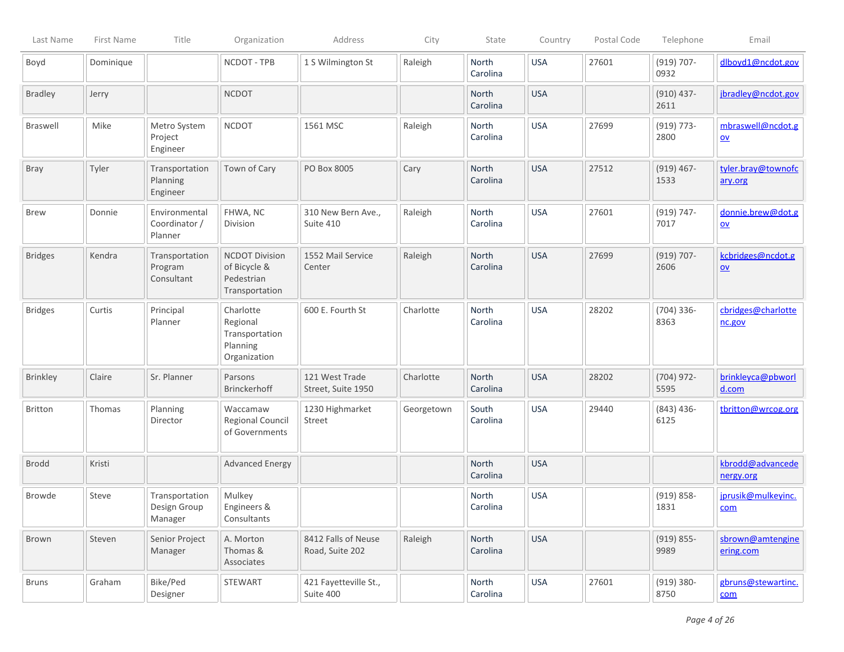| Last Name       | First Name | Title                                     | Organization                                                          | Address                                | City       | State             | Country    | Postal Code | Telephone             | Email                                          |
|-----------------|------------|-------------------------------------------|-----------------------------------------------------------------------|----------------------------------------|------------|-------------------|------------|-------------|-----------------------|------------------------------------------------|
| Boyd            | Dominique  |                                           | NCDOT - TPB                                                           | 1 S Wilmington St                      | Raleigh    | North<br>Carolina | <b>USA</b> | 27601       | $(919) 707 -$<br>0932 | dlboyd1@ncdot.gov                              |
| <b>Bradley</b>  | Jerry      |                                           | <b>NCDOT</b>                                                          |                                        |            | North<br>Carolina | <b>USA</b> |             | $(910)$ 437-<br>2611  | jbradley@ncdot.gov                             |
| <b>Braswell</b> | Mike       | Metro System<br>Project<br>Engineer       | <b>NCDOT</b>                                                          | 1561 MSC                               | Raleigh    | North<br>Carolina | <b>USA</b> | 27699       | $(919) 773-$<br>2800  | mbraswell@ncdot.g<br>$\underline{\mathsf{ov}}$ |
| Bray            | Tyler      | Transportation<br>Planning<br>Engineer    | Town of Cary                                                          | PO Box 8005                            | Cary       | North<br>Carolina | <b>USA</b> | 27512       | $(919)$ 467-<br>1533  | tyler.bray@townofc<br>ary.org                  |
| <b>Brew</b>     | Donnie     | Environmental<br>Coordinator /<br>Planner | FHWA, NC<br>Division                                                  | 310 New Bern Ave.,<br>Suite 410        | Raleigh    | North<br>Carolina | <b>USA</b> | 27601       | $(919) 747 -$<br>7017 | donnie.brew@dot.g<br>$\underline{\mathsf{ov}}$ |
| <b>Bridges</b>  | Kendra     | Transportation<br>Program<br>Consultant   | <b>NCDOT Division</b><br>of Bicycle &<br>Pedestrian<br>Transportation | 1552 Mail Service<br>Center            | Raleigh    | North<br>Carolina | <b>USA</b> | 27699       | $(919) 707 -$<br>2606 | kcbridges@ncdot.g<br>QV                        |
| <b>Bridges</b>  | Curtis     | Principal<br>Planner                      | Charlotte<br>Regional<br>Transportation<br>Planning<br>Organization   | 600 E. Fourth St                       | Charlotte  | North<br>Carolina | <b>USA</b> | 28202       | $(704)$ 336-<br>8363  | cbridges@charlotte<br>nc.gov                   |
| Brinkley        | Claire     | Sr. Planner                               | Parsons<br>Brinckerhoff                                               | 121 West Trade<br>Street, Suite 1950   | Charlotte  | North<br>Carolina | <b>USA</b> | 28202       | $(704)$ 972-<br>5595  | brinkleyca@pbworl<br>d.com                     |
| <b>Britton</b>  | Thomas     | Planning<br>Director                      | Waccamaw<br>Regional Council<br>of Governments                        | 1230 Highmarket<br>Street              | Georgetown | South<br>Carolina | <b>USA</b> | 29440       | $(843)$ 436-<br>6125  | tbritton@wrcog.org                             |
| <b>Brodd</b>    | Kristi     |                                           | <b>Advanced Energy</b>                                                |                                        |            | North<br>Carolina | <b>USA</b> |             |                       | kbrodd@advancede<br>nergy.org                  |
| Browde          | Steve      | Transportation<br>Design Group<br>Manager | Mulkey<br>Engineers &<br>Consultants                                  |                                        |            | North<br>Carolina | <b>USA</b> |             | $(919) 858 -$<br>1831 | jprusik@mulkeyinc.<br>com                      |
| Brown           | Steven     | Senior Project<br>Manager                 | A. Morton<br>Thomas &<br>Associates                                   | 8412 Falls of Neuse<br>Road, Suite 202 | Raleigh    | North<br>Carolina | <b>USA</b> |             | $(919) 855 -$<br>9989 | sbrown@amtengine<br>ering.com                  |
| <b>Bruns</b>    | Graham     | Bike/Ped<br>Designer                      | STEWART                                                               | 421 Fayetteville St.,<br>Suite 400     |            | North<br>Carolina | <b>USA</b> | 27601       | $(919) 380 -$<br>8750 | gbruns@stewartinc.<br>com                      |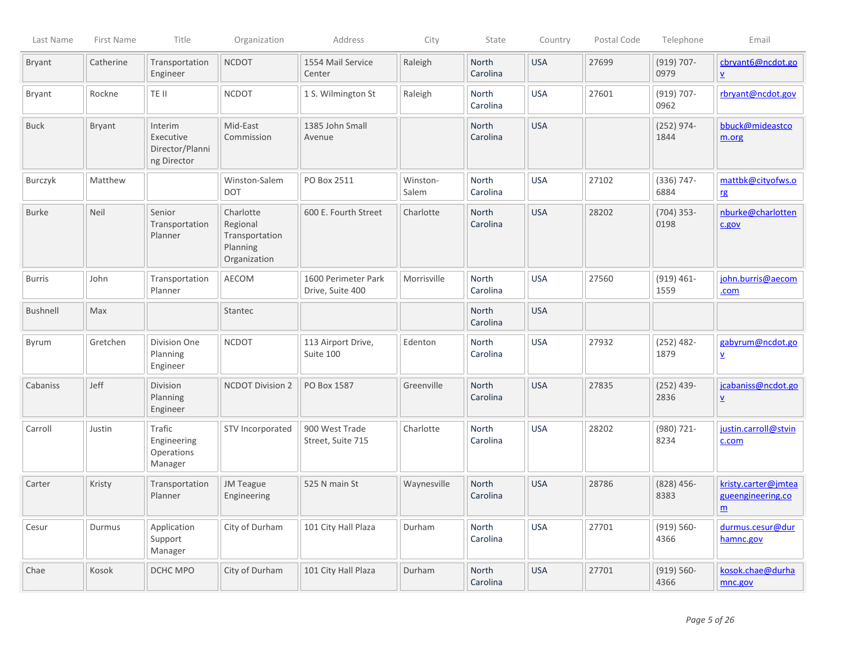| Last Name     | First Name    | Title                                                  | Organization                                                        | Address                                 | City              | State                    | Country    | Postal Code | Telephone             | Email                                                       |
|---------------|---------------|--------------------------------------------------------|---------------------------------------------------------------------|-----------------------------------------|-------------------|--------------------------|------------|-------------|-----------------------|-------------------------------------------------------------|
| <b>Bryant</b> | Catherine     | Transportation<br>Engineer                             | <b>NCDOT</b>                                                        | 1554 Mail Service<br>Center             | Raleigh           | <b>North</b><br>Carolina | <b>USA</b> | 27699       | $(919) 707 -$<br>0979 | cbryant6@ncdot.go<br>$\underline{\mathsf{v}}$               |
| <b>Bryant</b> | Rockne        | TE II                                                  | <b>NCDOT</b>                                                        | 1 S. Wilmington St                      | Raleigh           | North<br>Carolina        | <b>USA</b> | 27601       | $(919) 707 -$<br>0962 | rbryant@ncdot.gov                                           |
| <b>Buck</b>   | <b>Bryant</b> | Interim<br>Executive<br>Director/Planni<br>ng Director | Mid-East<br>Commission                                              | 1385 John Small<br>Avenue               |                   | North<br>Carolina        | <b>USA</b> |             | $(252)$ 974-<br>1844  | bbuck@mideastco<br>m.org                                    |
| Burczyk       | Matthew       |                                                        | Winston-Salem<br><b>DOT</b>                                         | PO Box 2511                             | Winston-<br>Salem | North<br>Carolina        | <b>USA</b> | 27102       | $(336) 747 -$<br>6884 | mattbk@cityofws.o<br>rg                                     |
| <b>Burke</b>  | <b>Neil</b>   | Senior<br>Transportation<br>Planner                    | Charlotte<br>Regional<br>Transportation<br>Planning<br>Organization | 600 E. Fourth Street                    | Charlotte         | North<br>Carolina        | <b>USA</b> | 28202       | $(704)$ 353-<br>0198  | nburke@charlotten<br>c.gov                                  |
| <b>Burris</b> | John          | Transportation<br>Planner                              | AECOM                                                               | 1600 Perimeter Park<br>Drive, Suite 400 | Morrisville       | North<br>Carolina        | <b>USA</b> | 27560       | $(919) 461 -$<br>1559 | john.burris@aecom<br>.com                                   |
| Bushnell      | Max           |                                                        | Stantec                                                             |                                         |                   | North<br>Carolina        | <b>USA</b> |             |                       |                                                             |
| Byrum         | Gretchen      | Division One<br>Planning<br>Engineer                   | <b>NCDOT</b>                                                        | 113 Airport Drive,<br>Suite 100         | Edenton           | <b>North</b><br>Carolina | <b>USA</b> | 27932       | $(252)$ 482-<br>1879  | gabyrum@ncdot.go<br>$\underline{\mathbf{v}}$                |
| Cabaniss      | Jeff          | Division<br>Planning<br>Engineer                       | <b>NCDOT Division 2</b>                                             | PO Box 1587                             | Greenville        | North<br>Carolina        | <b>USA</b> | 27835       | $(252)$ 439-<br>2836  | jcabaniss@ncdot.go<br>$\underline{\mathsf{v}}$              |
| Carroll       | Justin        | Trafic<br>Engineering<br>Operations<br>Manager         | STV Incorporated                                                    | 900 West Trade<br>Street, Suite 715     | Charlotte         | North<br>Carolina        | <b>USA</b> | 28202       | $(980)$ 721-<br>8234  | justin.carroll@stvin<br>c.com                               |
| Carter        | Kristy        | Transportation<br>Planner                              | <b>JM Teague</b><br>Engineering                                     | 525 N main St                           | Waynesville       | North<br>Carolina        | <b>USA</b> | 28786       | $(828)$ 456-<br>8383  | kristy.carter@jmtea<br>gueengineering.co<br>$\underline{m}$ |
| Cesur         | Durmus        | Application<br>Support<br>Manager                      | City of Durham                                                      | 101 City Hall Plaza                     | Durham            | North<br>Carolina        | <b>USA</b> | 27701       | $(919) 560 -$<br>4366 | durmus.cesur@dur<br>hamnc.gov                               |
| Chae          | Kosok         | DCHC MPO                                               | City of Durham                                                      | 101 City Hall Plaza                     | Durham            | North<br>Carolina        | <b>USA</b> | 27701       | $(919) 560-$<br>4366  | kosok.chae@durha<br>mnc.gov                                 |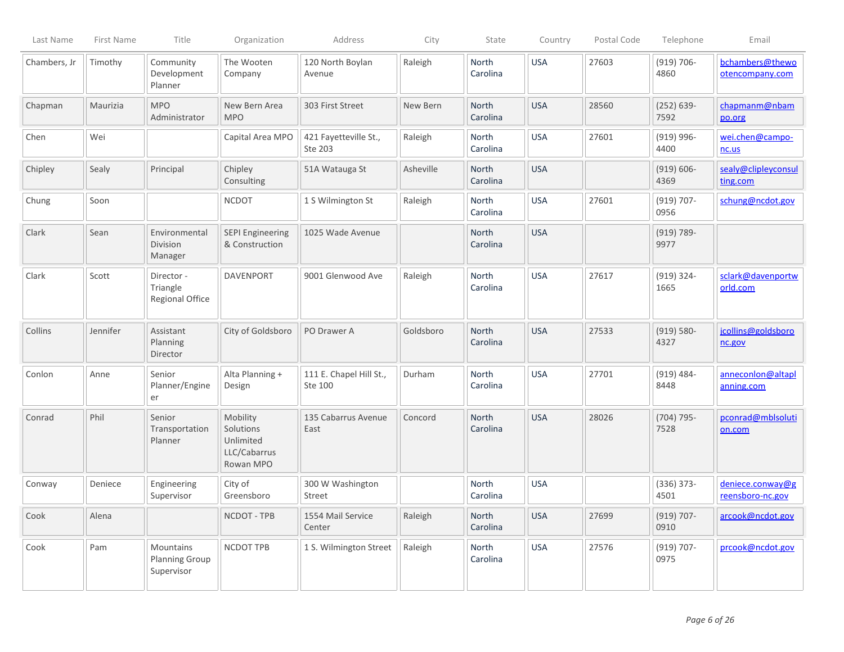| Last Name    | First Name | Title                                            | Organization                                                    | Address                            | City      | State             | Country    | Postal Code | Telephone             | Email                                |
|--------------|------------|--------------------------------------------------|-----------------------------------------------------------------|------------------------------------|-----------|-------------------|------------|-------------|-----------------------|--------------------------------------|
| Chambers, Jr | Timothy    | Community<br>Development<br>Planner              | The Wooten<br>Company                                           | 120 North Boylan<br>Avenue         | Raleigh   | North<br>Carolina | <b>USA</b> | 27603       | $(919) 706 -$<br>4860 | bchambers@thewo<br>otencompany.com   |
| Chapman      | Maurizia   | <b>MPO</b><br>Administrator                      | New Bern Area<br><b>MPO</b>                                     | 303 First Street                   | New Bern  | North<br>Carolina | <b>USA</b> | 28560       | $(252) 639 -$<br>7592 | chapmanm@nbam<br>po.org              |
| Chen         | Wei        |                                                  | Capital Area MPO                                                | 421 Fayetteville St.,<br>Ste 203   | Raleigh   | North<br>Carolina | <b>USA</b> | 27601       | $(919)$ 996-<br>4400  | wei.chen@campo-<br>nc.us             |
| Chipley      | Sealy      | Principal                                        | Chipley<br>Consulting                                           | 51A Watauga St                     | Asheville | North<br>Carolina | <b>USA</b> |             | $(919) 606 -$<br>4369 | sealy@clipleyconsul<br>ting.com      |
| Chung        | Soon       |                                                  | <b>NCDOT</b>                                                    | 1 S Wilmington St                  | Raleigh   | North<br>Carolina | <b>USA</b> | 27601       | $(919) 707 -$<br>0956 | schung@ncdot.gov                     |
| Clark        | Sean       | Environmental<br>Division<br>Manager             | <b>SEPI Engineering</b><br>& Construction                       | 1025 Wade Avenue                   |           | North<br>Carolina | <b>USA</b> |             | $(919) 789 -$<br>9977 |                                      |
| Clark        | Scott      | Director -<br>Triangle<br>Regional Office        | <b>DAVENPORT</b>                                                | 9001 Glenwood Ave                  | Raleigh   | North<br>Carolina | <b>USA</b> | 27617       | $(919) 324 -$<br>1665 | sclark@davenportw<br>orld.com        |
| Collins      | Jennifer   | Assistant<br>Planning<br>Director                | City of Goldsboro                                               | PO Drawer A                        | Goldsboro | North<br>Carolina | <b>USA</b> | 27533       | $(919) 580 -$<br>4327 | jcollins@goldsboro<br>nc.gov         |
| Conlon       | Anne       | Senior<br>Planner/Engine<br>er                   | Alta Planning +<br>Design                                       | 111 E. Chapel Hill St.,<br>Ste 100 | Durham    | North<br>Carolina | <b>USA</b> | 27701       | $(919) 484 -$<br>8448 | anneconlon@altapl<br>anning.com      |
| Conrad       | Phil       | Senior<br>Transportation<br>Planner              | Mobility<br>Solutions<br>Unlimited<br>LLC/Cabarrus<br>Rowan MPO | 135 Cabarrus Avenue<br>East        | Concord   | North<br>Carolina | <b>USA</b> | 28026       | $(704) 795 -$<br>7528 | pconrad@mblsoluti<br>on.com          |
| Conway       | Deniece    | Engineering<br>Supervisor                        | City of<br>Greensboro                                           | 300 W Washington<br><b>Street</b>  |           | North<br>Carolina | <b>USA</b> |             | $(336) 373 -$<br>4501 | deniece.conway@g<br>reensboro-nc.gov |
| Cook         | Alena      |                                                  | NCDOT - TPB                                                     | 1554 Mail Service<br>Center        | Raleigh   | North<br>Carolina | <b>USA</b> | 27699       | $(919) 707 -$<br>0910 | arcook@ncdot.gov                     |
| Cook         | Pam        | Mountains<br><b>Planning Group</b><br>Supervisor | NCDOT TPB                                                       | 1 S. Wilmington Street             | Raleigh   | North<br>Carolina | <b>USA</b> | 27576       | $(919) 707 -$<br>0975 | prcook@ncdot.gov                     |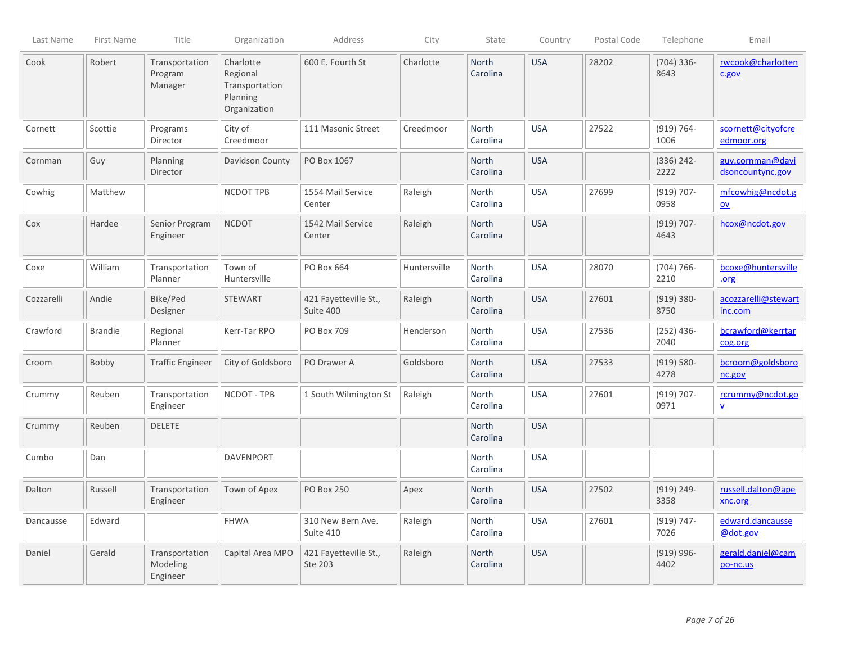| Last Name  | First Name     | Title                                  | Organization                                                        | Address                            | City         | State             | Country    | Postal Code | Telephone             | Email                                        |
|------------|----------------|----------------------------------------|---------------------------------------------------------------------|------------------------------------|--------------|-------------------|------------|-------------|-----------------------|----------------------------------------------|
| Cook       | Robert         | Transportation<br>Program<br>Manager   | Charlotte<br>Regional<br>Transportation<br>Planning<br>Organization | 600 E. Fourth St                   | Charlotte    | North<br>Carolina | <b>USA</b> | 28202       | $(704)$ 336-<br>8643  | rwcook@charlotten<br>c.gov                   |
| Cornett    | Scottie        | Programs<br>Director                   | City of<br>Creedmoor                                                | 111 Masonic Street                 | Creedmoor    | North<br>Carolina | <b>USA</b> | 27522       | $(919) 764 -$<br>1006 | scornett@cityofcre<br>edmoor.org             |
| Cornman    | Guy            | Planning<br>Director                   | Davidson County                                                     | PO Box 1067                        |              | North<br>Carolina | <b>USA</b> |             | $(336) 242 -$<br>2222 | guy.cornman@davi<br>dsoncountync.gov         |
| Cowhig     | Matthew        |                                        | NCDOT TPB                                                           | 1554 Mail Service<br>Center        | Raleigh      | North<br>Carolina | <b>USA</b> | 27699       | $(919) 707 -$<br>0958 | mfcowhig@ncdot.g<br>$ov$                     |
| Cox        | Hardee         | Senior Program<br>Engineer             | <b>NCDOT</b>                                                        | 1542 Mail Service<br>Center        | Raleigh      | North<br>Carolina | <b>USA</b> |             | $(919) 707 -$<br>4643 | hcox@ncdot.gov                               |
| Coxe       | William        | Transportation<br>Planner              | Town of<br>Huntersville                                             | PO Box 664                         | Huntersville | North<br>Carolina | <b>USA</b> | 28070       | $(704) 766 -$<br>2210 | bcoxe@huntersville<br>.org                   |
| Cozzarelli | Andie          | Bike/Ped<br>Designer                   | <b>STEWART</b>                                                      | 421 Fayetteville St.,<br>Suite 400 | Raleigh      | North<br>Carolina | <b>USA</b> | 27601       | $(919) 380 -$<br>8750 | acozzarelli@stewart<br>inc.com               |
| Crawford   | <b>Brandie</b> | Regional<br>Planner                    | Kerr-Tar RPO                                                        | PO Box 709                         | Henderson    | North<br>Carolina | <b>USA</b> | 27536       | $(252)$ 436-<br>2040  | bcrawford@kerrtar<br>cog.org                 |
| Croom      | Bobby          | <b>Traffic Engineer</b>                | City of Goldsboro                                                   | PO Drawer A                        | Goldsboro    | North<br>Carolina | <b>USA</b> | 27533       | $(919) 580 -$<br>4278 | bcroom@goldsboro<br>nc.gov                   |
| Crummy     | Reuben         | Transportation<br>Engineer             | NCDOT - TPB                                                         | 1 South Wilmington St              | Raleigh      | North<br>Carolina | <b>USA</b> | 27601       | $(919) 707 -$<br>0971 | rcrummy@ncdot.go<br>$\underline{\mathsf{v}}$ |
| Crummy     | Reuben         | <b>DELETE</b>                          |                                                                     |                                    |              | North<br>Carolina | <b>USA</b> |             |                       |                                              |
| Cumbo      | Dan            |                                        | <b>DAVENPORT</b>                                                    |                                    |              | North<br>Carolina | <b>USA</b> |             |                       |                                              |
| Dalton     | Russell        | Transportation<br>Engineer             | Town of Apex                                                        | <b>PO Box 250</b>                  | Apex         | North<br>Carolina | <b>USA</b> | 27502       | $(919) 249 -$<br>3358 | russell.dalton@ape<br>xnc.org                |
| Dancausse  | Edward         |                                        | <b>FHWA</b>                                                         | 310 New Bern Ave.<br>Suite 410     | Raleigh      | North<br>Carolina | <b>USA</b> | 27601       | $(919) 747 -$<br>7026 | edward.dancausse<br>@dot.gov                 |
| Daniel     | Gerald         | Transportation<br>Modeling<br>Engineer | Capital Area MPO                                                    | 421 Fayetteville St.,<br>Ste 203   | Raleigh      | North<br>Carolina | <b>USA</b> |             | $(919) 996 -$<br>4402 | gerald.daniel@cam<br>po-nc.us                |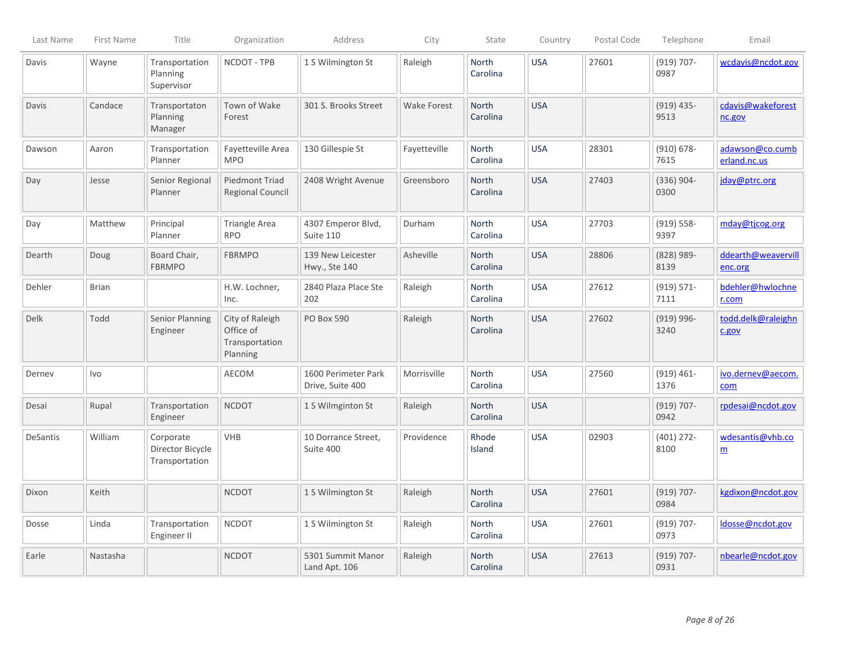| Last Name | First Name   | Title                                           | Organization                                               | Address                                 | City               | State                    | Country    | Postal Code | Telephone             | Email                               |
|-----------|--------------|-------------------------------------------------|------------------------------------------------------------|-----------------------------------------|--------------------|--------------------------|------------|-------------|-----------------------|-------------------------------------|
| Davis     | Wayne        | Transportation<br>Planning<br>Supervisor        | NCDOT - TPB                                                | 1 S Wilmington St                       | Raleigh            | North<br>Carolina        | <b>USA</b> | 27601       | $(919) 707 -$<br>0987 | wcdavis@ncdot.gov                   |
| Davis     | Candace      | Transportaton<br>Planning<br>Manager            | Town of Wake<br>Forest                                     | 301 S. Brooks Street                    | <b>Wake Forest</b> | North<br>Carolina        | <b>USA</b> |             | $(919)$ 435-<br>9513  | cdavis@wakeforest<br>nc.gov         |
| Dawson    | Aaron        | Transportation<br>Planner                       | Fayetteville Area<br><b>MPO</b>                            | 130 Gillespie St                        | Fayetteville       | <b>North</b><br>Carolina | <b>USA</b> | 28301       | $(910) 678 -$<br>7615 | adawson@co.cumb<br>erland.nc.us     |
| Day       | Jesse        | Senior Regional<br>Planner                      | <b>Piedmont Triad</b><br>Regional Council                  | 2408 Wright Avenue                      | Greensboro         | North<br>Carolina        | <b>USA</b> | 27403       | $(336)$ 904-<br>0300  | jday@ptrc.org                       |
| Day       | Matthew      | Principal<br>Planner                            | <b>Triangle Area</b><br><b>RPO</b>                         | 4307 Emperor Blvd,<br>Suite 110         | Durham             | <b>North</b><br>Carolina | <b>USA</b> | 27703       | $(919) 558 -$<br>9397 | mday@tjcog.org                      |
| Dearth    | Doug         | Board Chair,<br><b>FBRMPO</b>                   | <b>FBRMPO</b>                                              | 139 New Leicester<br>Hwy., Ste 140      | Asheville          | North<br>Carolina        | <b>USA</b> | 28806       | $(828)$ 989-<br>8139  | ddearth@weavervill<br>enc.org       |
| Dehler    | <b>Brian</b> |                                                 | H.W. Lochner,<br>Inc.                                      | 2840 Plaza Place Ste<br>202             | Raleigh            | <b>North</b><br>Carolina | <b>USA</b> | 27612       | $(919) 571 -$<br>7111 | bdehler@hwlochne<br>r.com           |
| Delk      | Todd         | Senior Planning<br>Engineer                     | City of Raleigh<br>Office of<br>Transportation<br>Planning | PO Box 590                              | Raleigh            | North<br>Carolina        | <b>USA</b> | 27602       | $(919)$ 996-<br>3240  | todd.delk@raleighn<br>c.gov         |
| Derney    | Ivo          |                                                 | AECOM                                                      | 1600 Perimeter Park<br>Drive, Suite 400 | Morrisville        | North<br>Carolina        | <b>USA</b> | 27560       | $(919) 461 -$<br>1376 | ivo.dernev@aecom.<br>com            |
| Desai     | Rupal        | Transportation<br>Engineer                      | <b>NCDOT</b>                                               | 1 S Wilmginton St                       | Raleigh            | <b>North</b><br>Carolina | <b>USA</b> |             | $(919) 707 -$<br>0942 | rpdesai@ncdot.gov                   |
| DeSantis  | William      | Corporate<br>Director Bicycle<br>Transportation | <b>VHB</b>                                                 | 10 Dorrance Street,<br>Suite 400        | Providence         | Rhode<br>Island          | <b>USA</b> | 02903       | $(401)$ 272-<br>8100  | wdesantis@vhb.co<br>$\underline{m}$ |
| Dixon     | Keith        |                                                 | <b>NCDOT</b>                                               | 1 S Wilmington St                       | Raleigh            | <b>North</b><br>Carolina | <b>USA</b> | 27601       | $(919) 707 -$<br>0984 | kgdixon@ncdot.gov                   |
| Dosse     | Linda        | Transportation<br>Engineer II                   | <b>NCDOT</b>                                               | 1 S Wilmington St                       | Raleigh            | North<br>Carolina        | <b>USA</b> | 27601       | $(919) 707 -$<br>0973 | ldosse@ncdot.gov                    |
| Earle     | Nastasha     |                                                 | <b>NCDOT</b>                                               | 5301 Summit Manor<br>Land Apt. 106      | Raleigh            | North<br>Carolina        | <b>USA</b> | 27613       | $(919) 707 -$<br>0931 | nbearle@ncdot.gov                   |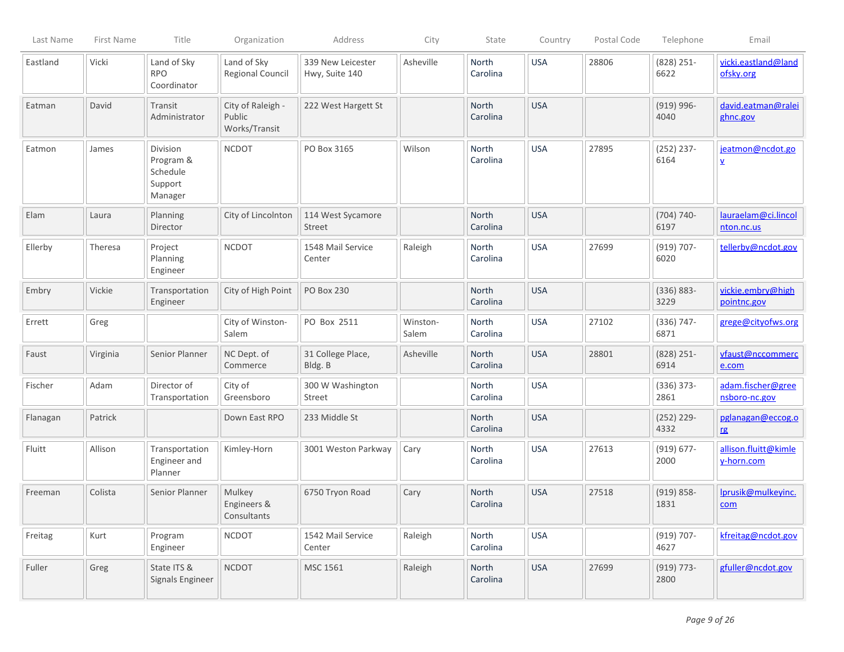| Last Name | First Name | Title                                                   | Organization                                 | Address                             | City              | State                    | Country    | Postal Code | Telephone             | Email                                       |
|-----------|------------|---------------------------------------------------------|----------------------------------------------|-------------------------------------|-------------------|--------------------------|------------|-------------|-----------------------|---------------------------------------------|
| Eastland  | Vicki      | Land of Sky<br><b>RPO</b><br>Coordinator                | Land of Sky<br><b>Regional Council</b>       | 339 New Leicester<br>Hwy, Suite 140 | Asheville         | North<br>Carolina        | <b>USA</b> | 28806       | $(828)$ 251-<br>6622  | vicki.eastland@land<br>ofsky.org            |
| Eatman    | David      | Transit<br>Administrator                                | City of Raleigh -<br>Public<br>Works/Transit | 222 West Hargett St                 |                   | North<br>Carolina        | <b>USA</b> |             | $(919) 996 -$<br>4040 | david.eatman@ralei<br>ghnc.gov              |
| Eatmon    | James      | Division<br>Program &<br>Schedule<br>Support<br>Manager | <b>NCDOT</b>                                 | PO Box 3165                         | Wilson            | North<br>Carolina        | <b>USA</b> | 27895       | $(252)$ 237-<br>6164  | jeatmon@ncdot.go<br>$\overline{\mathbf{v}}$ |
| Elam      | Laura      | Planning<br>Director                                    | City of Lincolnton                           | 114 West Sycamore<br>Street         |                   | North<br>Carolina        | <b>USA</b> |             | $(704) 740-$<br>6197  | lauraelam@ci.lincol<br>nton.nc.us           |
| Ellerby   | Theresa    | Project<br>Planning<br>Engineer                         | <b>NCDOT</b>                                 | 1548 Mail Service<br>Center         | Raleigh           | North<br>Carolina        | <b>USA</b> | 27699       | $(919) 707 -$<br>6020 | tellerby@ncdot.gov                          |
| Embry     | Vickie     | Transportation<br>Engineer                              | City of High Point                           | <b>PO Box 230</b>                   |                   | North<br>Carolina        | <b>USA</b> |             | $(336) 883 -$<br>3229 | vickie.embry@high<br>pointnc.gov            |
| Errett    | Greg       |                                                         | City of Winston-<br>Salem                    | PO Box 2511                         | Winston-<br>Salem | <b>North</b><br>Carolina | <b>USA</b> | 27102       | $(336) 747 -$<br>6871 | grege@cityofws.org                          |
| Faust     | Virginia   | Senior Planner                                          | NC Dept. of<br>Commerce                      | 31 College Place,<br>Bldg. B        | Asheville         | <b>North</b><br>Carolina | <b>USA</b> | 28801       | $(828)$ 251-<br>6914  | vfaust@nccommerc<br>e.com                   |
| Fischer   | Adam       | Director of<br>Transportation                           | City of<br>Greensboro                        | 300 W Washington<br>Street          |                   | <b>North</b><br>Carolina | <b>USA</b> |             | $(336) 373-$<br>2861  | adam.fischer@gree<br>nsboro-nc.gov          |
| Flanagan  | Patrick    |                                                         | Down East RPO                                | 233 Middle St                       |                   | <b>North</b><br>Carolina | <b>USA</b> |             | $(252)$ 229-<br>4332  | pglanagan@eccog.o<br>rg                     |
| Fluitt    | Allison    | Transportation<br>Engineer and<br>Planner               | Kimley-Horn                                  | 3001 Weston Parkway                 | Cary              | <b>North</b><br>Carolina | <b>USA</b> | 27613       | $(919) 677 -$<br>2000 | allison.fluitt@kimle<br>y-horn.com          |
| Freeman   | Colista    | Senior Planner                                          | Mulkey<br>Engineers &<br>Consultants         | 6750 Tryon Road                     | Cary              | North<br>Carolina        | <b>USA</b> | 27518       | $(919) 858 -$<br>1831 | lprusik@mulkeyinc.<br>com                   |
| Freitag   | Kurt       | Program<br>Engineer                                     | <b>NCDOT</b>                                 | 1542 Mail Service<br>Center         | Raleigh           | North<br>Carolina        | <b>USA</b> |             | $(919) 707 -$<br>4627 | kfreitag@ncdot.gov                          |
| Fuller    | Greg       | State ITS &<br>Signals Engineer                         | <b>NCDOT</b>                                 | MSC 1561                            | Raleigh           | North<br>Carolina        | <b>USA</b> | 27699       | $(919) 773-$<br>2800  | gfuller@ncdot.gov                           |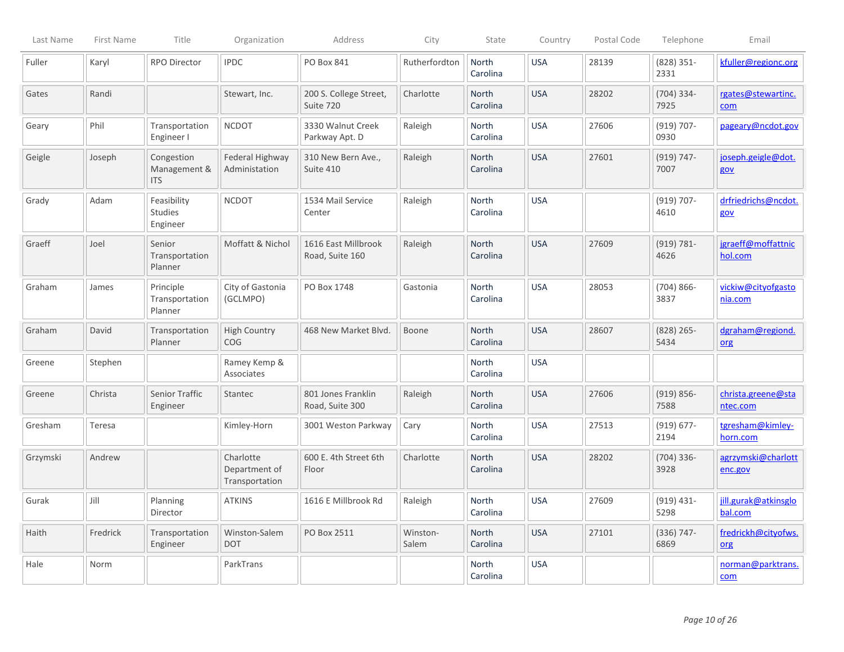| Last Name | First Name | Title                                    | Organization                                 | Address                                | City              | State                    | Country    | Postal Code | Telephone             | Email                           |
|-----------|------------|------------------------------------------|----------------------------------------------|----------------------------------------|-------------------|--------------------------|------------|-------------|-----------------------|---------------------------------|
| Fuller    | Karyl      | RPO Director                             | <b>IPDC</b>                                  | PO Box 841                             | Rutherfordton     | North<br>Carolina        | <b>USA</b> | 28139       | $(828)$ 351-<br>2331  | kfuller@regionc.org             |
| Gates     | Randi      |                                          | Stewart, Inc.                                | 200 S. College Street,<br>Suite 720    | Charlotte         | North<br>Carolina        | <b>USA</b> | 28202       | $(704)$ 334-<br>7925  | rgates@stewartinc.<br>com       |
| Geary     | Phil       | Transportation<br>Engineer I             | <b>NCDOT</b>                                 | 3330 Walnut Creek<br>Parkway Apt. D    | Raleigh           | North<br>Carolina        | <b>USA</b> | 27606       | $(919) 707 -$<br>0930 | pageary@ncdot.gov               |
| Geigle    | Joseph     | Congestion<br>Management &<br><b>ITS</b> | Federal Highway<br>Administation             | 310 New Bern Ave.,<br>Suite 410        | Raleigh           | North<br>Carolina        | <b>USA</b> | 27601       | $(919) 747 -$<br>7007 | joseph.geigle@dot.<br>gov       |
| Grady     | Adam       | Feasibility<br>Studies<br>Engineer       | <b>NCDOT</b>                                 | 1534 Mail Service<br>Center            | Raleigh           | North<br>Carolina        | <b>USA</b> |             | $(919) 707 -$<br>4610 | drfriedrichs@ncdot.<br>gov      |
| Graeff    | Joel       | Senior<br>Transportation<br>Planner      | Moffatt & Nichol                             | 1616 East Millbrook<br>Road, Suite 160 | Raleigh           | North<br>Carolina        | <b>USA</b> | 27609       | $(919) 781 -$<br>4626 | jgraeff@moffattnic<br>hol.com   |
| Graham    | James      | Principle<br>Transportation<br>Planner   | City of Gastonia<br>(GCLMPO)                 | PO Box 1748                            | Gastonia          | <b>North</b><br>Carolina | <b>USA</b> | 28053       | $(704)866 -$<br>3837  | vickiw@cityofgasto<br>nia.com   |
| Graham    | David      | Transportation<br>Planner                | <b>High Country</b><br>COG                   | 468 New Market Blvd                    | Boone             | North<br>Carolina        | <b>USA</b> | 28607       | $(828)$ 265-<br>5434  | dgraham@regiond.<br>org         |
| Greene    | Stephen    |                                          | Ramey Kemp &<br>Associates                   |                                        |                   | North<br>Carolina        | <b>USA</b> |             |                       |                                 |
| Greene    | Christa    | Senior Traffic<br>Engineer               | Stantec                                      | 801 Jones Franklin<br>Road, Suite 300  | Raleigh           | North<br>Carolina        | <b>USA</b> | 27606       | $(919) 856 -$<br>7588 | christa.greene@sta<br>ntec.com  |
| Gresham   | Teresa     |                                          | Kimley-Horn                                  | 3001 Weston Parkway                    | Cary              | North<br>Carolina        | <b>USA</b> | 27513       | $(919) 677 -$<br>2194 | tgresham@kimley-<br>horn.com    |
| Grzymski  | Andrew     |                                          | Charlotte<br>Department of<br>Transportation | 600 E. 4th Street 6th<br>Floor         | Charlotte         | North<br>Carolina        | <b>USA</b> | 28202       | $(704)$ 336-<br>3928  | agrzymski@charlott<br>enc.gov   |
| Gurak     | Jill       | Planning<br>Director                     | <b>ATKINS</b>                                | 1616 E Millbrook Rd                    | Raleigh           | <b>North</b><br>Carolina | <b>USA</b> | 27609       | $(919) 431 -$<br>5298 | jill.gurak@atkinsglo<br>bal.com |
| Haith     | Fredrick   | Transportation<br>Engineer               | Winston-Salem<br><b>DOT</b>                  | PO Box 2511                            | Winston-<br>Salem | North<br>Carolina        | <b>USA</b> | 27101       | $(336) 747 -$<br>6869 | fredrickh@cityofws.<br>org      |
| Hale      | Norm       |                                          | ParkTrans                                    |                                        |                   | North<br>Carolina        | <b>USA</b> |             |                       | norman@parktrans.<br>$com$      |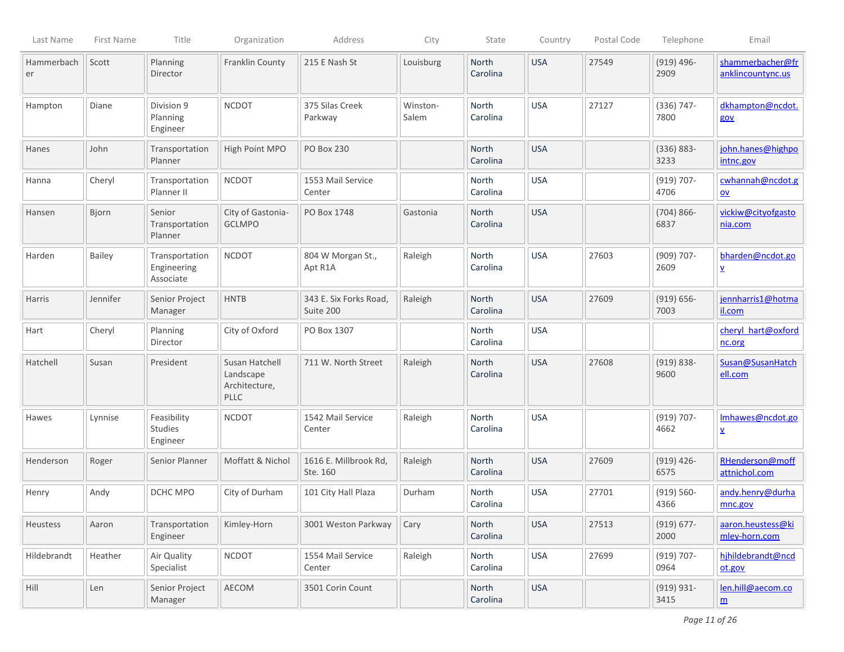| Last Name        | First Name | Title                                      | Organization                                                | Address                             | City              | State             | Country    | Postal Code | Telephone             | Email                                         |
|------------------|------------|--------------------------------------------|-------------------------------------------------------------|-------------------------------------|-------------------|-------------------|------------|-------------|-----------------------|-----------------------------------------------|
| Hammerbach<br>er | Scott      | Planning<br>Director                       | Franklin County                                             | 215 E Nash St                       | Louisburg         | North<br>Carolina | <b>USA</b> | 27549       | $(919)$ 496-<br>2909  | shammerbacher@fr<br>anklincountync.us         |
| Hampton          | Diane      | Division 9<br>Planning<br>Engineer         | <b>NCDOT</b>                                                | 375 Silas Creek<br>Parkway          | Winston-<br>Salem | North<br>Carolina | <b>USA</b> | 27127       | $(336) 747 -$<br>7800 | dkhampton@ncdot.<br>gov                       |
| Hanes            | John       | Transportation<br>Planner                  | High Point MPO                                              | PO Box 230                          |                   | North<br>Carolina | <b>USA</b> |             | $(336) 883 -$<br>3233 | john.hanes@highpo<br>intnc.gov                |
| Hanna            | Cheryl     | Transportation<br>Planner II               | <b>NCDOT</b>                                                | 1553 Mail Service<br>Center         |                   | North<br>Carolina | <b>USA</b> |             | $(919) 707 -$<br>4706 | cwhannah@ncdot.g<br>$\underline{\mathsf{ov}}$ |
| Hansen           | Bjorn      | Senior<br>Transportation<br>Planner        | City of Gastonia-<br><b>GCLMPO</b>                          | PO Box 1748                         | Gastonia          | North<br>Carolina | <b>USA</b> |             | $(704)866-$<br>6837   | vickiw@cityofgasto<br>nia.com                 |
| Harden           | Bailey     | Transportation<br>Engineering<br>Associate | <b>NCDOT</b>                                                | 804 W Morgan St.,<br>Apt R1A        | Raleigh           | North<br>Carolina | <b>USA</b> | 27603       | $(909) 707 -$<br>2609 | bharden@ncdot.go<br>⊻                         |
| Harris           | Jennifer   | Senior Project<br>Manager                  | <b>HNTB</b>                                                 | 343 E. Six Forks Road,<br>Suite 200 | Raleigh           | North<br>Carolina | <b>USA</b> | 27609       | $(919) 656 -$<br>7003 | jennharris1@hotma<br>il.com                   |
| Hart             | Cheryl     | Planning<br>Director                       | City of Oxford                                              | PO Box 1307                         |                   | North<br>Carolina | <b>USA</b> |             |                       | cheryl_hart@oxford<br>nc.org                  |
| Hatchell         | Susan      | President                                  | Susan Hatchell<br>Landscape<br>Architecture,<br><b>PLLC</b> | 711 W. North Street                 | Raleigh           | North<br>Carolina | <b>USA</b> | 27608       | $(919) 838 -$<br>9600 | Susan@SusanHatch<br>ell.com                   |
| Hawes            | Lynnise    | Feasibility<br>Studies<br>Engineer         | <b>NCDOT</b>                                                | 1542 Mail Service<br>Center         | Raleigh           | North<br>Carolina | <b>USA</b> |             | $(919) 707 -$<br>4662 | Imhawes@ncdot.go<br>⊻                         |
| Henderson        | Roger      | Senior Planner                             | Moffatt & Nichol                                            | 1616 E. Millbrook Rd,<br>Ste. 160   | Raleigh           | North<br>Carolina | <b>USA</b> | 27609       | $(919)$ 426-<br>6575  | RHenderson@moff<br>attnichol.com              |
| Henry            | Andy       | DCHC MPO                                   | City of Durham                                              | 101 City Hall Plaza                 | Durham            | North<br>Carolina | <b>USA</b> | 27701       | $(919) 560 -$<br>4366 | andy.henry@durha<br>mnc.gov                   |
| Heustess         | Aaron      | Transportation<br>Engineer                 | Kimley-Horn                                                 | 3001 Weston Parkway                 | Cary              | North<br>Carolina | <b>USA</b> | 27513       | $(919) 677 -$<br>2000 | aaron.heustess@ki<br>mley-horn.com            |
| Hildebrandt      | Heather    | Air Quality<br>Specialist                  | <b>NCDOT</b>                                                | 1554 Mail Service<br>Center         | Raleigh           | North<br>Carolina | <b>USA</b> | 27699       | $(919) 707 -$<br>0964 | hjhildebrandt@ncd<br>ot.gov                   |
| Hill             | Len        | Senior Project<br>Manager                  | AECOM                                                       | 3501 Corin Count                    |                   | North<br>Carolina | <b>USA</b> |             | $(919) 931 -$<br>3415 | len.hill@aecom.co<br>$\underline{\mathsf{m}}$ |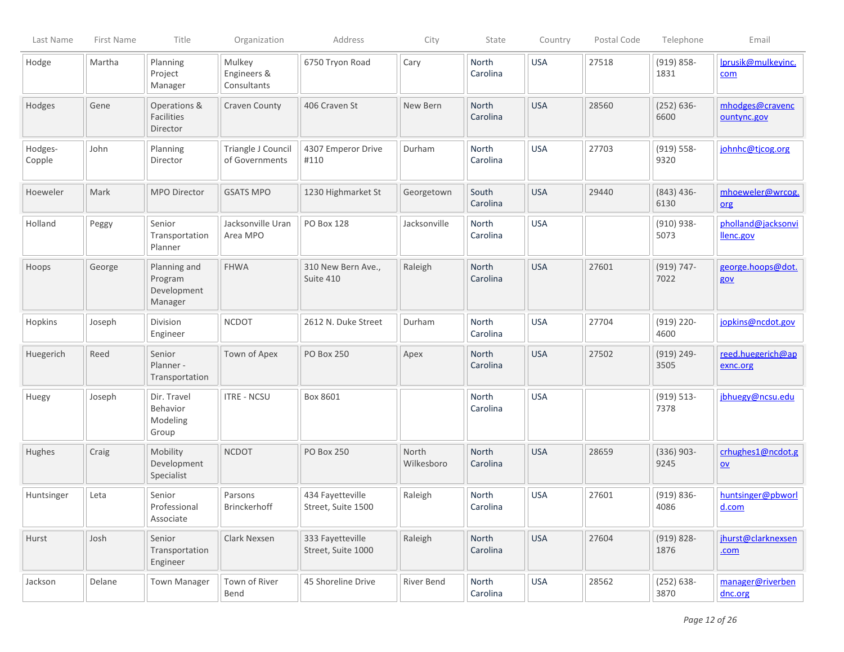| Last Name         | First Name | Title                                             | Organization                         | Address                                | City                | State             | Country    | Postal Code | Telephone             | Email                                          |
|-------------------|------------|---------------------------------------------------|--------------------------------------|----------------------------------------|---------------------|-------------------|------------|-------------|-----------------------|------------------------------------------------|
| Hodge             | Martha     | Planning<br>Project<br>Manager                    | Mulkey<br>Engineers &<br>Consultants | 6750 Tryon Road                        | Cary                | North<br>Carolina | <b>USA</b> | 27518       | $(919) 858 -$<br>1831 | Iprusik@mulkeyinc.<br>com                      |
| Hodges            | Gene       | Operations &<br>Facilities<br>Director            | Craven County                        | 406 Craven St                          | New Bern            | North<br>Carolina | <b>USA</b> | 28560       | $(252) 636 -$<br>6600 | mhodges@cravenc<br>ountync.gov                 |
| Hodges-<br>Copple | John       | Planning<br>Director                              | Triangle J Council<br>of Governments | 4307 Emperor Drive<br>#110             | Durham              | North<br>Carolina | <b>USA</b> | 27703       | $(919) 558 -$<br>9320 | johnhc@tjcog.org                               |
| Hoeweler          | Mark       | MPO Director                                      | <b>GSATS MPO</b>                     | 1230 Highmarket St                     | Georgetown          | South<br>Carolina | <b>USA</b> | 29440       | $(843)$ 436-<br>6130  | mhoeweler@wrcog.<br>org                        |
| Holland           | Peggy      | Senior<br>Transportation<br>Planner               | Jacksonville Uran<br>Area MPO        | <b>PO Box 128</b>                      | Jacksonville        | North<br>Carolina | <b>USA</b> |             | $(910) 938 -$<br>5073 | pholland@jacksonvi<br>llenc.gov                |
| Hoops             | George     | Planning and<br>Program<br>Development<br>Manager | <b>FHWA</b>                          | 310 New Bern Ave.,<br>Suite 410        | Raleigh             | North<br>Carolina | <b>USA</b> | 27601       | $(919) 747 -$<br>7022 | george.hoops@dot.<br>gov                       |
| Hopkins           | Joseph     | Division<br>Engineer                              | <b>NCDOT</b>                         | 2612 N. Duke Street                    | Durham              | North<br>Carolina | <b>USA</b> | 27704       | $(919)$ 220-<br>4600  | jopkins@ncdot.gov                              |
| Huegerich         | Reed       | Senior<br>Planner -<br>Transportation             | Town of Apex                         | <b>PO Box 250</b>                      | Apex                | North<br>Carolina | <b>USA</b> | 27502       | $(919) 249 -$<br>3505 | reed.huegerich@ap<br>exnc.org                  |
| Huegy             | Joseph     | Dir. Travel<br>Behavior<br>Modeling<br>Group      | <b>ITRE - NCSU</b>                   | Box 8601                               |                     | North<br>Carolina | <b>USA</b> |             | $(919) 513 -$<br>7378 | jbhuegy@ncsu.edu                               |
| Hughes            | Craig      | Mobility<br>Development<br>Specialist             | <b>NCDOT</b>                         | <b>PO Box 250</b>                      | North<br>Wilkesboro | North<br>Carolina | <b>USA</b> | 28659       | $(336)$ 903-<br>9245  | crhughes1@ncdot.g<br>$\underline{\mathsf{ov}}$ |
| Huntsinger        | Leta       | Senior<br>Professional<br>Associate               | Parsons<br>Brinckerhoff              | 434 Fayetteville<br>Street, Suite 1500 | Raleigh             | North<br>Carolina | <b>USA</b> | 27601       | $(919) 836 -$<br>4086 | huntsinger@pbworl<br>d.com                     |
| Hurst             | Josh       | Senior<br>Transportation<br>Engineer              | Clark Nexsen                         | 333 Fayetteville<br>Street, Suite 1000 | Raleigh             | North<br>Carolina | <b>USA</b> | 27604       | $(919) 828 -$<br>1876 | jhurst@clarknexsen<br>.com                     |
| Jackson           | Delane     | <b>Town Manager</b>                               | Town of River<br>Bend                | 45 Shoreline Drive                     | River Bend          | North<br>Carolina | <b>USA</b> | 28562       | $(252) 638 -$<br>3870 | manager@riverben<br>dnc.org                    |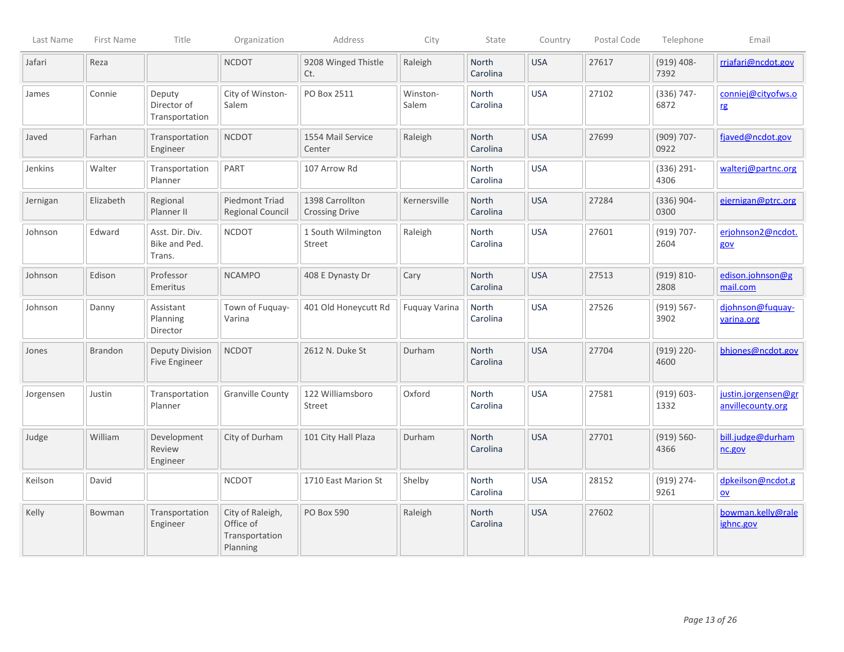| Last Name | First Name     | Title                                      | Organization                                                | Address                                  | City                 | State                    | Country    | Postal Code | Telephone             | Email                                    |
|-----------|----------------|--------------------------------------------|-------------------------------------------------------------|------------------------------------------|----------------------|--------------------------|------------|-------------|-----------------------|------------------------------------------|
| Jafari    | Reza           |                                            | <b>NCDOT</b>                                                | 9208 Winged Thistle<br>Ct.               | Raleigh              | North<br>Carolina        | <b>USA</b> | 27617       | $(919)$ 408-<br>7392  | rrjafari@ncdot.gov                       |
| James     | Connie         | Deputy<br>Director of<br>Transportation    | City of Winston-<br>Salem                                   | PO Box 2511                              | Winston-<br>Salem    | North<br>Carolina        | <b>USA</b> | 27102       | $(336) 747 -$<br>6872 | conniej@cityofws.o<br>rg                 |
| Javed     | Farhan         | Transportation<br>Engineer                 | <b>NCDOT</b>                                                | 1554 Mail Service<br>Center              | Raleigh              | <b>North</b><br>Carolina | <b>USA</b> | 27699       | $(909) 707 -$<br>0922 | fjaved@ncdot.gov                         |
| Jenkins   | Walter         | Transportation<br>Planner                  | PART                                                        | 107 Arrow Rd                             |                      | North<br>Carolina        | <b>USA</b> |             | $(336) 291 -$<br>4306 | walterj@partnc.org                       |
| Jernigan  | Elizabeth      | Regional<br>Planner II                     | <b>Piedmont Triad</b><br><b>Regional Council</b>            | 1398 Carrollton<br><b>Crossing Drive</b> | Kernersville         | <b>North</b><br>Carolina | <b>USA</b> | 27284       | $(336) 904 -$<br>0300 | ejernigan@ptrc.org                       |
| Johnson   | Edward         | Asst. Dir. Div.<br>Bike and Ped.<br>Trans. | <b>NCDOT</b>                                                | 1 South Wilmington<br><b>Street</b>      | Raleigh              | North<br>Carolina        | <b>USA</b> | 27601       | $(919) 707 -$<br>2604 | erjohnson2@ncdot.<br>gov                 |
| Johnson   | Edison         | Professor<br>Emeritus                      | <b>NCAMPO</b>                                               | 408 E Dynasty Dr                         | Cary                 | North<br>Carolina        | <b>USA</b> | 27513       | $(919) 810 -$<br>2808 | edison.johnson@g<br>mail.com             |
| Johnson   | Danny          | Assistant<br>Planning<br>Director          | Town of Fuquay-<br>Varina                                   | 401 Old Honeycutt Rd                     | <b>Fuquay Varina</b> | North<br>Carolina        | <b>USA</b> | 27526       | $(919) 567 -$<br>3902 | djohnson@fuquay-<br>varina.org           |
| Jones     | <b>Brandon</b> | Deputy Division<br>Five Engineer           | <b>NCDOT</b>                                                | 2612 N. Duke St                          | Durham               | North<br>Carolina        | <b>USA</b> | 27704       | $(919)$ 220-<br>4600  | bhjones@ncdot.gov                        |
| Jorgensen | Justin         | Transportation<br>Planner                  | <b>Granville County</b>                                     | 122 Williamsboro<br>Street               | Oxford               | <b>North</b><br>Carolina | <b>USA</b> | 27581       | $(919) 603 -$<br>1332 | justin.jorgensen@gr<br>anvillecounty.org |
| Judge     | William        | Development<br>Review<br>Engineer          | City of Durham                                              | 101 City Hall Plaza                      | Durham               | North<br>Carolina        | <b>USA</b> | 27701       | $(919) 560 -$<br>4366 | bill.judge@durham<br>nc.gov              |
| Keilson   | David          |                                            | <b>NCDOT</b>                                                | 1710 East Marion St                      | Shelby               | North<br>Carolina        | <b>USA</b> | 28152       | $(919)$ 274-<br>9261  | dpkeilson@ncdot.g<br>$ov$                |
| Kelly     | Bowman         | Transportation<br>Engineer                 | City of Raleigh,<br>Office of<br>Transportation<br>Planning | PO Box 590                               | Raleigh              | North<br>Carolina        | <b>USA</b> | 27602       |                       | bowman.kelly@rale<br>ighnc.gov           |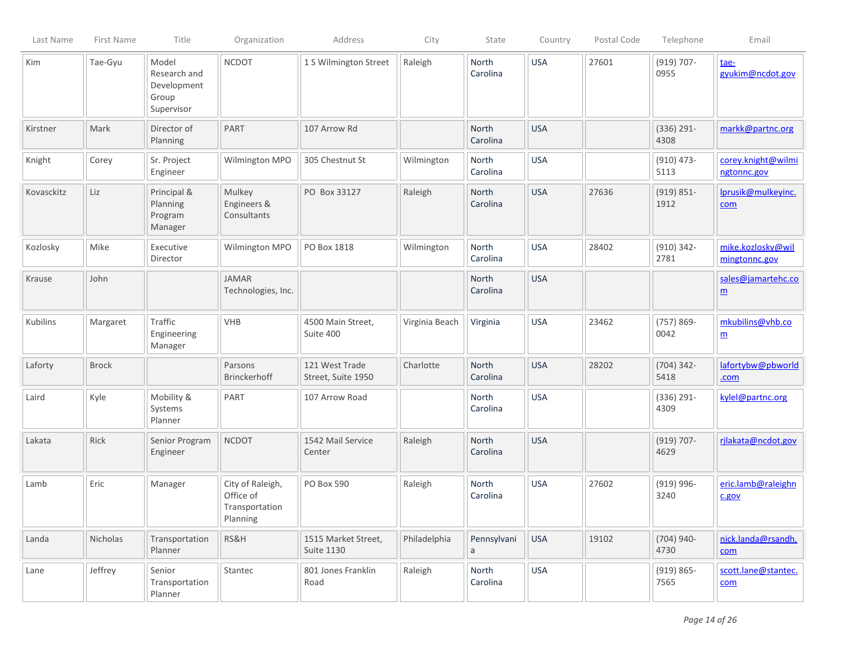| Last Name  | First Name   | Title                                                       | Organization                                                | Address                                  | City           | State             | Country    | Postal Code | Telephone             | Email                                 |
|------------|--------------|-------------------------------------------------------------|-------------------------------------------------------------|------------------------------------------|----------------|-------------------|------------|-------------|-----------------------|---------------------------------------|
| Kim        | Tae-Gyu      | Model<br>Research and<br>Development<br>Group<br>Supervisor | <b>NCDOT</b>                                                | 1 S Wilmington Street                    | Raleigh        | North<br>Carolina | <b>USA</b> | 27601       | $(919) 707 -$<br>0955 | tae-<br>gyukim@ncdot.gov              |
| Kirstner   | Mark         | Director of<br>Planning                                     | <b>PART</b>                                                 | 107 Arrow Rd                             |                | North<br>Carolina | <b>USA</b> |             | $(336) 291 -$<br>4308 | markk@partnc.org                      |
| Knight     | Corey        | Sr. Project<br>Engineer                                     | Wilmington MPO                                              | 305 Chestnut St                          | Wilmington     | North<br>Carolina | <b>USA</b> |             | $(910)$ 473-<br>5113  | corey.knight@wilmi<br>ngtonnc.gov     |
| Kovasckitz | Liz          | Principal &<br>Planning<br>Program<br>Manager               | Mulkey<br>Engineers &<br>Consultants                        | PO Box 33127                             | Raleigh        | North<br>Carolina | <b>USA</b> | 27636       | $(919) 851 -$<br>1912 | Iprusik@mulkeyinc.<br>com             |
| Kozlosky   | Mike         | Executive<br>Director                                       | Wilmington MPO                                              | PO Box 1818                              | Wilmington     | North<br>Carolina | <b>USA</b> | 28402       | $(910) 342 -$<br>2781 | mike.kozlosky@wil<br>mingtonnc.gov    |
| Krause     | John         |                                                             | <b>JAMAR</b><br>Technologies, Inc.                          |                                          |                | North<br>Carolina | <b>USA</b> |             |                       | sales@jamartehc.co<br>$\underline{m}$ |
| Kubilins   | Margaret     | Traffic<br>Engineering<br>Manager                           | <b>VHB</b>                                                  | 4500 Main Street,<br>Suite 400           | Virginia Beach | Virginia          | <b>USA</b> | 23462       | $(757) 869 -$<br>0042 | mkubilins@vhb.co<br>$\underline{m}$   |
| Laforty    | <b>Brock</b> |                                                             | Parsons<br>Brinckerhoff                                     | 121 West Trade<br>Street, Suite 1950     | Charlotte      | North<br>Carolina | <b>USA</b> | 28202       | $(704)$ 342-<br>5418  | lafortybw@pbworld<br>.com             |
| Laird      | Kyle         | Mobility &<br>Systems<br>Planner                            | PART                                                        | 107 Arrow Road                           |                | North<br>Carolina | <b>USA</b> |             | $(336) 291 -$<br>4309 | kylel@partnc.org                      |
| Lakata     | Rick         | Senior Program<br>Engineer                                  | <b>NCDOT</b>                                                | 1542 Mail Service<br>Center              | Raleigh        | North<br>Carolina | <b>USA</b> |             | $(919) 707 -$<br>4629 | rilakata@ncdot.gov                    |
| Lamb       | Eric         | Manager                                                     | City of Raleigh,<br>Office of<br>Transportation<br>Planning | PO Box 590                               | Raleigh        | North<br>Carolina | <b>USA</b> | 27602       | $(919) 996 -$<br>3240 | eric.lamb@raleighn<br>c.gov           |
| Landa      | Nicholas     | Transportation<br>Planner                                   | RS&H                                                        | 1515 Market Street,<br><b>Suite 1130</b> | Philadelphia   | Pennsylvani<br>a  | <b>USA</b> | 19102       | $(704)$ 940-<br>4730  | nick.landa@rsandh.<br>com             |
| Lane       | Jeffrey      | Senior<br>Transportation<br>Planner                         | Stantec                                                     | 801 Jones Franklin<br>Road               | Raleigh        | North<br>Carolina | <b>USA</b> |             | $(919) 865 -$<br>7565 | scott.lane@stantec.<br>com            |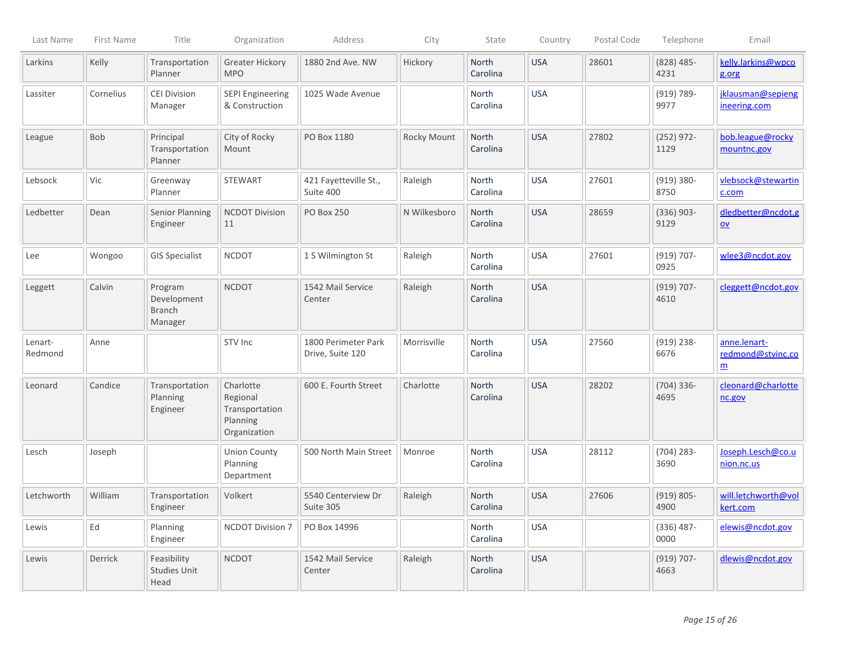| Last Name          | First Name | Title                                              | Organization                                                        | Address                                 | City         | State                    | Country    | Postal Code | Telephone             | Email                                                |
|--------------------|------------|----------------------------------------------------|---------------------------------------------------------------------|-----------------------------------------|--------------|--------------------------|------------|-------------|-----------------------|------------------------------------------------------|
| Larkins            | Kelly      | Transportation<br>Planner                          | <b>Greater Hickory</b><br><b>MPO</b>                                | 1880 2nd Ave. NW                        | Hickory      | <b>North</b><br>Carolina | <b>USA</b> | 28601       | $(828)$ 485-<br>4231  | kelly.larkins@wpco<br>g.org                          |
| Lassiter           | Cornelius  | <b>CEI Division</b><br>Manager                     | <b>SEPI Engineering</b><br>& Construction                           | 1025 Wade Avenue                        |              | <b>North</b><br>Carolina | <b>USA</b> |             | $(919) 789-$<br>9977  | jklausman@sepieng<br>ineering.com                    |
| League             | Bob        | Principal<br>Transportation<br>Planner             | City of Rocky<br>Mount                                              | PO Box 1180                             | Rocky Mount  | North<br>Carolina        | <b>USA</b> | 27802       | $(252)$ 972-<br>1129  | bob.league@rocky<br>mountnc.gov                      |
| Lebsock            | Vic        | Greenway<br>Planner                                | <b>STEWART</b>                                                      | 421 Fayetteville St.,<br>Suite 400      | Raleigh      | North<br>Carolina        | <b>USA</b> | 27601       | $(919) 380 -$<br>8750 | vlebsock@stewartin<br>c.com                          |
| Ledbetter          | Dean       | <b>Senior Planning</b><br>Engineer                 | <b>NCDOT Division</b><br>11                                         | <b>PO Box 250</b>                       | N Wilkesboro | North<br>Carolina        | <b>USA</b> | 28659       | $(336)$ 903-<br>9129  | dledbetter@ncdot.g<br>$ov$                           |
| Lee                | Wongoo     | <b>GIS Specialist</b>                              | <b>NCDOT</b>                                                        | 1 S Wilmington St                       | Raleigh      | North<br>Carolina        | <b>USA</b> | 27601       | $(919) 707 -$<br>0925 | wlee3@ncdot.gov                                      |
| Leggett            | Calvin     | Program<br>Development<br><b>Branch</b><br>Manager | <b>NCDOT</b>                                                        | 1542 Mail Service<br>Center             | Raleigh      | North<br>Carolina        | <b>USA</b> |             | $(919) 707 -$<br>4610 | cleggett@ncdot.gov                                   |
| Lenart-<br>Redmond | Anne       |                                                    | STV Inc                                                             | 1800 Perimeter Park<br>Drive, Suite 120 | Morrisville  | North<br>Carolina        | <b>USA</b> | 27560       | $(919)$ 238-<br>6676  | anne.lenart-<br>redmond@stvinc.co<br>$\underline{m}$ |
| Leonard            | Candice    | Transportation<br>Planning<br>Engineer             | Charlotte<br>Regional<br>Transportation<br>Planning<br>Organization | 600 E. Fourth Street                    | Charlotte    | <b>North</b><br>Carolina | <b>USA</b> | 28202       | $(704)$ 336-<br>4695  | cleonard@charlotte<br>nc.gov                         |
| Lesch              | Joseph     |                                                    | <b>Union County</b><br>Planning<br>Department                       | 500 North Main Street                   | Monroe       | North<br>Carolina        | <b>USA</b> | 28112       | $(704)$ 283-<br>3690  | Joseph.Lesch@co.u<br>nion.nc.us                      |
| Letchworth         | William    | Transportation<br>Engineer                         | Volkert                                                             | 5540 Centerview Dr<br>Suite 305         | Raleigh      | North<br>Carolina        | <b>USA</b> | 27606       | $(919) 805 -$<br>4900 | will.letchworth@vol<br>kert.com                      |
| Lewis              | Ed         | Planning<br>Engineer                               | <b>NCDOT Division 7</b>                                             | PO Box 14996                            |              | North<br>Carolina        | <b>USA</b> |             | $(336)$ 487-<br>0000  | elewis@ncdot.gov                                     |
| Lewis              | Derrick    | Feasibility<br><b>Studies Unit</b><br>Head         | <b>NCDOT</b>                                                        | 1542 Mail Service<br>Center             | Raleigh      | North<br>Carolina        | <b>USA</b> |             | $(919) 707 -$<br>4663 | dlewis@ncdot.gov                                     |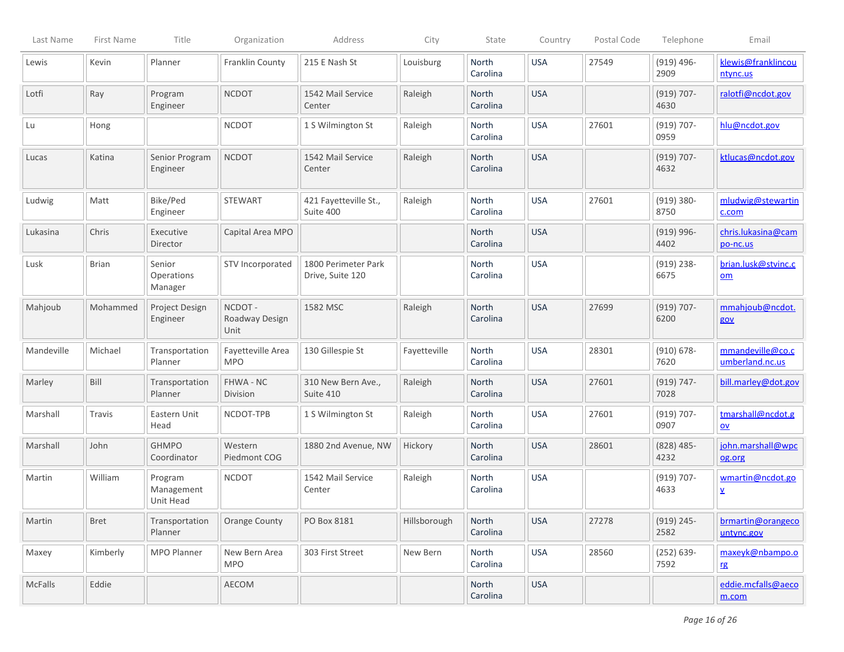| Last Name  | First Name   | Title                              | Organization                     | Address                                 | City         | State                    | Country    | Postal Code | Telephone             | Email                                          |
|------------|--------------|------------------------------------|----------------------------------|-----------------------------------------|--------------|--------------------------|------------|-------------|-----------------------|------------------------------------------------|
| Lewis      | Kevin        | Planner                            | Franklin County                  | 215 E Nash St                           | Louisburg    | North<br>Carolina        | <b>USA</b> | 27549       | $(919)$ 496-<br>2909  | klewis@franklincou<br>ntync.us                 |
| Lotfi      | Ray          | Program<br>Engineer                | <b>NCDOT</b>                     | 1542 Mail Service<br>Center             | Raleigh      | North<br>Carolina        | <b>USA</b> |             | $(919) 707 -$<br>4630 | ralotfi@ncdot.gov                              |
| Lu         | Hong         |                                    | <b>NCDOT</b>                     | 1 S Wilmington St                       | Raleigh      | North<br>Carolina        | <b>USA</b> | 27601       | $(919) 707 -$<br>0959 | hlu@ncdot.gov                                  |
| Lucas      | Katina       | Senior Program<br>Engineer         | <b>NCDOT</b>                     | 1542 Mail Service<br>Center             | Raleigh      | North<br>Carolina        | <b>USA</b> |             | $(919) 707 -$<br>4632 | ktlucas@ncdot.gov                              |
| Ludwig     | Matt         | Bike/Ped<br>Engineer               | <b>STEWART</b>                   | 421 Fayetteville St.,<br>Suite 400      | Raleigh      | North<br>Carolina        | <b>USA</b> | 27601       | $(919) 380 -$<br>8750 | mludwig@stewartin<br>c.com                     |
| Lukasina   | Chris        | Executive<br>Director              | Capital Area MPO                 |                                         |              | North<br>Carolina        | <b>USA</b> |             | $(919)$ 996-<br>4402  | chris.lukasina@cam<br>po-nc.us                 |
| Lusk       | <b>Brian</b> | Senior<br>Operations<br>Manager    | STV Incorporated                 | 1800 Perimeter Park<br>Drive, Suite 120 |              | North<br>Carolina        | <b>USA</b> |             | $(919)$ 238-<br>6675  | brian.lusk@stvinc.c<br>om                      |
| Mahjoub    | Mohammed     | Project Design<br>Engineer         | NCDOT-<br>Roadway Design<br>Unit | 1582 MSC                                | Raleigh      | North<br>Carolina        | <b>USA</b> | 27699       | $(919) 707 -$<br>6200 | mmahjoub@ncdot.<br>gov                         |
| Mandeville | Michael      | Transportation<br>Planner          | Fayetteville Area<br><b>MPO</b>  | 130 Gillespie St                        | Fayetteville | <b>North</b><br>Carolina | <b>USA</b> | 28301       | $(910) 678 -$<br>7620 | mmandeville@co.c<br>umberland.nc.us            |
| Marley     | Bill         | Transportation<br>Planner          | FHWA - NC<br>Division            | 310 New Bern Ave.,<br>Suite 410         | Raleigh      | North<br>Carolina        | <b>USA</b> | 27601       | $(919) 747 -$<br>7028 | bill.marley@dot.gov                            |
| Marshall   | Travis       | Eastern Unit<br>Head               | NCDOT-TPB                        | 1 S Wilmington St                       | Raleigh      | North<br>Carolina        | <b>USA</b> | 27601       | $(919) 707 -$<br>0907 | tmarshall@ncdot.g<br>$\underline{\mathsf{ov}}$ |
| Marshall   | John         | <b>GHMPO</b><br>Coordinator        | Western<br>Piedmont COG          | 1880 2nd Avenue, NW                     | Hickory      | North<br>Carolina        | <b>USA</b> | 28601       | $(828)$ 485-<br>4232  | john.marshall@wpc<br>og.org                    |
| Martin     | William      | Program<br>Management<br>Unit Head | <b>NCDOT</b>                     | 1542 Mail Service<br>Center             | Raleigh      | North<br>Carolina        | <b>USA</b> |             | $(919) 707 -$<br>4633 | wmartin@ncdot.go<br>⊻                          |
| Martin     | Bret         | Transportation<br>Planner          | <b>Orange County</b>             | PO Box 8181                             | Hillsborough | North<br>Carolina        | <b>USA</b> | 27278       | $(919)$ 245-<br>2582  | brmartin@orangeco<br>untync.gov                |
| Maxey      | Kimberly     | MPO Planner                        | New Bern Area<br><b>MPO</b>      | 303 First Street                        | New Bern     | North<br>Carolina        | <b>USA</b> | 28560       | $(252) 639 -$<br>7592 | maxeyk@nbampo.o<br>rg                          |
| McFalls    | Eddie        |                                    | AECOM                            |                                         |              | North<br>Carolina        | <b>USA</b> |             |                       | eddie.mcfalls@aeco<br>m.com                    |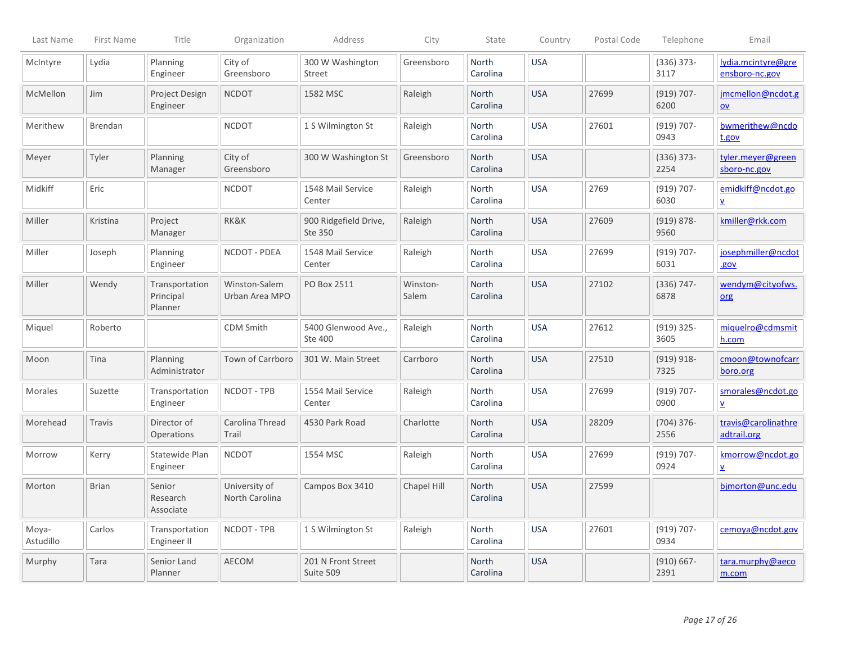| Last Name          | First Name   | Title                                  | Organization                    | Address                          | City              | State                    | Country    | Postal Code | Telephone             | Email                                          |
|--------------------|--------------|----------------------------------------|---------------------------------|----------------------------------|-------------------|--------------------------|------------|-------------|-----------------------|------------------------------------------------|
| McIntyre           | Lydia        | Planning<br>Engineer                   | City of<br>Greensboro           | 300 W Washington<br>Street       | Greensboro        | North<br>Carolina        | <b>USA</b> |             | $(336)$ 373-<br>3117  | lydia.mcintyre@gre<br>ensboro-nc.gov           |
| McMellon           | Jim          | Project Design<br>Engineer             | <b>NCDOT</b>                    | 1582 MSC                         | Raleigh           | North<br>Carolina        | <b>USA</b> | 27699       | $(919) 707 -$<br>6200 | jmcmellon@ncdot.g<br>$\underline{\mathsf{ov}}$ |
| Merithew           | Brendan      |                                        | <b>NCDOT</b>                    | 1 S Wilmington St                | Raleigh           | North<br>Carolina        | <b>USA</b> | 27601       | $(919) 707 -$<br>0943 | bwmerithew@ncdo<br>t.gov                       |
| Meyer              | Tyler        | Planning<br>Manager                    | City of<br>Greensboro           | 300 W Washington St              | Greensboro        | North<br>Carolina        | <b>USA</b> |             | $(336) 373 -$<br>2254 | tyler.meyer@green<br>sboro-nc.gov              |
| Midkiff            | Eric         |                                        | <b>NCDOT</b>                    | 1548 Mail Service<br>Center      | Raleigh           | North<br>Carolina        | <b>USA</b> | 2769        | $(919) 707 -$<br>6030 | emidkiff@ncdot.go<br>V                         |
| Miller             | Kristina     | Project<br>Manager                     | RK&K                            | 900 Ridgefield Drive,<br>Ste 350 | Raleigh           | North<br>Carolina        | <b>USA</b> | 27609       | $(919) 878 -$<br>9560 | kmiller@rkk.com                                |
| Miller             | Joseph       | Planning<br>Engineer                   | NCDOT - PDEA                    | 1548 Mail Service<br>Center      | Raleigh           | North<br>Carolina        | <b>USA</b> | 27699       | $(919) 707 -$<br>6031 | josephmiller@ncdot<br>.gov                     |
| Miller             | Wendy        | Transportation<br>Principal<br>Planner | Winston-Salem<br>Urban Area MPO | PO Box 2511                      | Winston-<br>Salem | North<br>Carolina        | <b>USA</b> | 27102       | $(336) 747 -$<br>6878 | wendym@cityofws.<br>org                        |
| Miquel             | Roberto      |                                        | <b>CDM Smith</b>                | 5400 Glenwood Ave.,<br>Ste 400   | Raleigh           | North<br>Carolina        | <b>USA</b> | 27612       | $(919)$ 325-<br>3605  | miquelro@cdmsmit<br>h.com                      |
| Moon               | Tina         | Planning<br>Administrator              | Town of Carrboro                | 301 W. Main Street               | Carrboro          | North<br>Carolina        | <b>USA</b> | 27510       | $(919) 918 -$<br>7325 | cmoon@townofcarr<br>boro.org                   |
| <b>Morales</b>     | Suzette      | Transportation<br>Engineer             | NCDOT - TPB                     | 1554 Mail Service<br>Center      | Raleigh           | North<br>Carolina        | <b>USA</b> | 27699       | $(919) 707 -$<br>0900 | smorales@ncdot.go<br>$\underline{v}$           |
| Morehead           | Travis       | Director of<br>Operations              | Carolina Thread<br>Trail        | 4530 Park Road                   | Charlotte         | <b>North</b><br>Carolina | <b>USA</b> | 28209       | $(704)$ 376-<br>2556  | travis@carolinathre<br>adtrail.org             |
| Morrow             | Kerry        | Statewide Plan<br>Engineer             | <b>NCDOT</b>                    | 1554 MSC                         | Raleigh           | <b>North</b><br>Carolina | <b>USA</b> | 27699       | $(919) 707 -$<br>0924 | kmorrow@ncdot.go<br>$\underline{\mathsf{v}}$   |
| Morton             | <b>Brian</b> | Senior<br>Research<br>Associate        | University of<br>North Carolina | Campos Box 3410                  | Chapel Hill       | <b>North</b><br>Carolina | <b>USA</b> | 27599       |                       | bimorton@unc.edu                               |
| Moya-<br>Astudillo | Carlos       | Transportation<br>Engineer II          | NCDOT - TPB                     | 1 S Wilmington St                | Raleigh           | <b>North</b><br>Carolina | <b>USA</b> | 27601       | $(919) 707 -$<br>0934 | cemova@ncdot.gov                               |
| Murphy             | Tara         | Senior Land<br>Planner                 | <b>AECOM</b>                    | 201 N Front Street<br>Suite 509  |                   | North<br>Carolina        | <b>USA</b> |             | $(910) 667 -$<br>2391 | tara.murphy@aeco<br>m.com                      |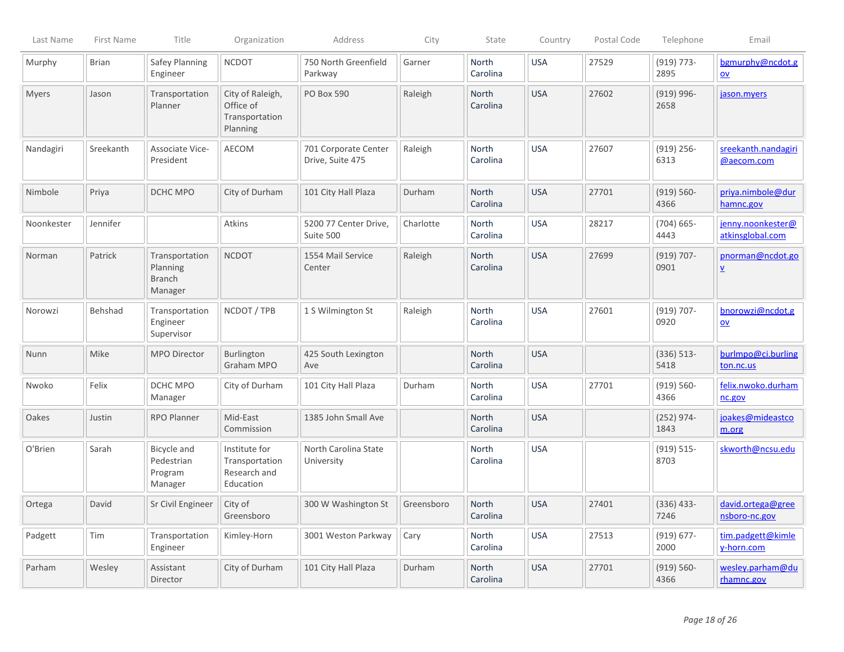| Last Name  | First Name   | Title                                                  | Organization                                                 | Address                                  | City       | State                    | Country    | Postal Code | Telephone             | Email                                        |
|------------|--------------|--------------------------------------------------------|--------------------------------------------------------------|------------------------------------------|------------|--------------------------|------------|-------------|-----------------------|----------------------------------------------|
| Murphy     | <b>Brian</b> | Safey Planning<br>Engineer                             | <b>NCDOT</b>                                                 | 750 North Greenfield<br>Parkway          | Garner     | North<br>Carolina        | <b>USA</b> | 27529       | $(919) 773 -$<br>2895 | bgmurphy@ncdot.g<br>$ov$                     |
| Myers      | Jason        | Transportation<br>Planner                              | City of Raleigh,<br>Office of<br>Transportation<br>Planning  | PO Box 590                               | Raleigh    | North<br>Carolina        | <b>USA</b> | 27602       | $(919)$ 996-<br>2658  | jason.myers                                  |
| Nandagiri  | Sreekanth    | Associate Vice-<br>President                           | AECOM                                                        | 701 Corporate Center<br>Drive, Suite 475 | Raleigh    | North<br>Carolina        | <b>USA</b> | 27607       | $(919)$ 256-<br>6313  | sreekanth.nandagiri<br>@aecom.com            |
| Nimbole    | Priya        | DCHC MPO                                               | City of Durham                                               | 101 City Hall Plaza                      | Durham     | North<br>Carolina        | <b>USA</b> | 27701       | $(919) 560 -$<br>4366 | priya.nimbole@dur<br>hamnc.gov               |
| Noonkester | Jennifer     |                                                        | Atkins                                                       | 5200 77 Center Drive,<br>Suite 500       | Charlotte  | North<br>Carolina        | <b>USA</b> | 28217       | $(704) 665 -$<br>4443 | jenny.noonkester@<br>atkinsglobal.com        |
| Norman     | Patrick      | Transportation<br>Planning<br><b>Branch</b><br>Manager | <b>NCDOT</b>                                                 | 1554 Mail Service<br>Center              | Raleigh    | North<br>Carolina        | <b>USA</b> | 27699       | $(919) 707 -$<br>0901 | pnorman@ncdot.go<br>$\underline{\mathsf{v}}$ |
| Norowzi    | Behshad      | Transportation<br>Engineer<br>Supervisor               | NCDOT / TPB                                                  | 1 S Wilmington St                        | Raleigh    | North<br>Carolina        | <b>USA</b> | 27601       | $(919) 707 -$<br>0920 | bnorowzi@ncdot.g<br>$ov$                     |
| Nunn       | Mike         | <b>MPO Director</b>                                    | Burlington<br>Graham MPO                                     | 425 South Lexington<br>Ave               |            | <b>North</b><br>Carolina | <b>USA</b> |             | $(336) 513 -$<br>5418 | burlmpo@ci.burling<br>ton.nc.us              |
| Nwoko      | Felix        | DCHC MPO<br>Manager                                    | City of Durham                                               | 101 City Hall Plaza                      | Durham     | <b>North</b><br>Carolina | <b>USA</b> | 27701       | $(919) 560 -$<br>4366 | felix.nwoko.durham<br>nc.gov                 |
| Oakes      | Justin       | <b>RPO Planner</b>                                     | Mid-East<br>Commission                                       | 1385 John Small Ave                      |            | <b>North</b><br>Carolina | <b>USA</b> |             | $(252)$ 974-<br>1843  | joakes@mideastco<br>m.org                    |
| O'Brien    | Sarah        | Bicycle and<br>Pedestrian<br>Program<br>Manager        | Institute for<br>Transportation<br>Research and<br>Education | North Carolina State<br>University       |            | North<br>Carolina        | <b>USA</b> |             | $(919) 515 -$<br>8703 | skworth@ncsu.edu                             |
| Ortega     | David        | Sr Civil Engineer                                      | City of<br>Greensboro                                        | 300 W Washington St                      | Greensboro | <b>North</b><br>Carolina | <b>USA</b> | 27401       | $(336)$ 433-<br>7246  | david.ortega@gree<br>nsboro-nc.gov           |
| Padgett    | Tim          | Transportation<br>Engineer                             | Kimley-Horn                                                  | 3001 Weston Parkway                      | Cary       | North<br>Carolina        | <b>USA</b> | 27513       | $(919) 677 -$<br>2000 | tim.padgett@kimle<br>y-horn.com              |
| Parham     | Wesley       | Assistant<br>Director                                  | City of Durham                                               | 101 City Hall Plaza                      | Durham     | North<br>Carolina        | <b>USA</b> | 27701       | $(919) 560 -$<br>4366 | wesley.parham@du<br>rhamnc.gov               |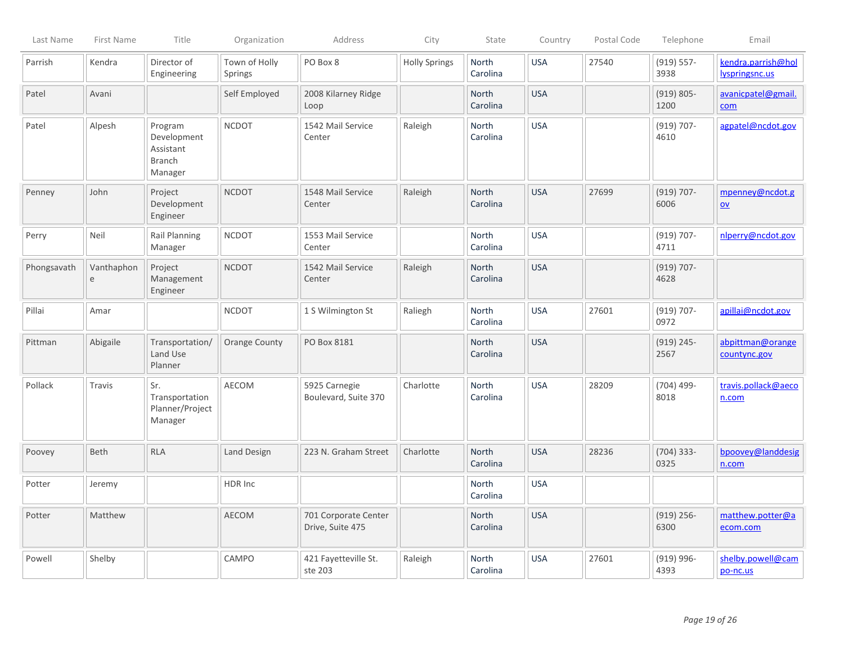| Last Name   | First Name                 | Title                                                           | Organization                    | Address                                  | City                 | State                    | Country    | Postal Code | Telephone             | Email                                |
|-------------|----------------------------|-----------------------------------------------------------------|---------------------------------|------------------------------------------|----------------------|--------------------------|------------|-------------|-----------------------|--------------------------------------|
| Parrish     | Kendra                     | Director of<br>Engineering                                      | Town of Holly<br><b>Springs</b> | PO Box 8                                 | <b>Holly Springs</b> | North<br>Carolina        | <b>USA</b> | 27540       | $(919) 557 -$<br>3938 | kendra.parrish@hol<br>lyspringsnc.us |
| Patel       | Avani                      |                                                                 | Self Employed                   | 2008 Kilarney Ridge<br>Loop              |                      | North<br>Carolina        | <b>USA</b> |             | $(919) 805 -$<br>1200 | avanicpatel@gmail.<br>com            |
| Patel       | Alpesh                     | Program<br>Development<br>Assistant<br><b>Branch</b><br>Manager | <b>NCDOT</b>                    | 1542 Mail Service<br>Center              | Raleigh              | North<br>Carolina        | <b>USA</b> |             | $(919) 707 -$<br>4610 | agpatel@ncdot.gov                    |
| Penney      | John                       | Project<br>Development<br>Engineer                              | <b>NCDOT</b>                    | 1548 Mail Service<br>Center              | Raleigh              | <b>North</b><br>Carolina | <b>USA</b> | 27699       | $(919) 707 -$<br>6006 | mpenney@ncdot.g<br>$ov$              |
| Perry       | Neil                       | Rail Planning<br>Manager                                        | <b>NCDOT</b>                    | 1553 Mail Service<br>Center              |                      | North<br>Carolina        | <b>USA</b> |             | $(919) 707 -$<br>4711 | nlperry@ncdot.gov                    |
| Phongsavath | Vanthaphon<br>$\mathsf{e}$ | Project<br>Management<br>Engineer                               | <b>NCDOT</b>                    | 1542 Mail Service<br>Center              | Raleigh              | North<br>Carolina        | <b>USA</b> |             | $(919) 707 -$<br>4628 |                                      |
| Pillai      | Amar                       |                                                                 | <b>NCDOT</b>                    | 1 S Wilmington St                        | Raliegh              | North<br>Carolina        | <b>USA</b> | 27601       | $(919) 707 -$<br>0972 | apillai@ncdot.gov                    |
| Pittman     | Abigaile                   | Transportation/<br>Land Use<br>Planner                          | <b>Orange County</b>            | PO Box 8181                              |                      | North<br>Carolina        | <b>USA</b> |             | $(919)$ 245-<br>2567  | abpittman@orange<br>countync.gov     |
| Pollack     | Travis                     | Sr.<br>Transportation<br>Planner/Project<br>Manager             | AECOM                           | 5925 Carnegie<br>Boulevard, Suite 370    | Charlotte            | <b>North</b><br>Carolina | <b>USA</b> | 28209       | $(704)$ 499-<br>8018  | travis.pollack@aeco<br>n.com         |
| Poovey      | Beth                       | <b>RLA</b>                                                      | Land Design                     | 223 N. Graham Street                     | Charlotte            | North<br>Carolina        | <b>USA</b> | 28236       | $(704)$ 333-<br>0325  | bpoovey@landdesig<br>n.com           |
| Potter      | Jeremy                     |                                                                 | HDR Inc                         |                                          |                      | <b>North</b><br>Carolina | <b>USA</b> |             |                       |                                      |
| Potter      | Matthew                    |                                                                 | <b>AECOM</b>                    | 701 Corporate Center<br>Drive, Suite 475 |                      | North<br>Carolina        | <b>USA</b> |             | $(919)$ 256-<br>6300  | matthew.potter@a<br>ecom.com         |
| Powell      | Shelby                     |                                                                 | CAMPO                           | 421 Fayetteville St.<br>ste 203          | Raleigh              | North<br>Carolina        | <b>USA</b> | 27601       | $(919) 996 -$<br>4393 | shelby.powell@cam<br>po-nc.us        |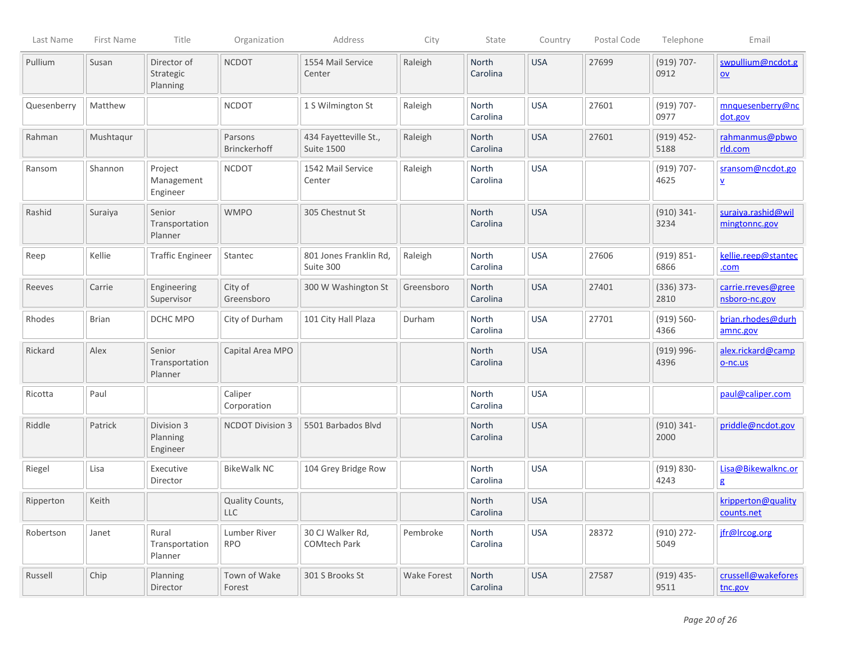| Last Name   | First Name   | Title                                | Organization                   | Address                                    | City        | State             | Country    | Postal Code | Telephone             | Email                                       |
|-------------|--------------|--------------------------------------|--------------------------------|--------------------------------------------|-------------|-------------------|------------|-------------|-----------------------|---------------------------------------------|
| Pullium     | Susan        | Director of<br>Strategic<br>Planning | <b>NCDOT</b>                   | 1554 Mail Service<br>Center                | Raleigh     | North<br>Carolina | <b>USA</b> | 27699       | $(919) 707 -$<br>0912 | swpullium@ncdot.g<br>QV                     |
| Quesenberry | Matthew      |                                      | <b>NCDOT</b>                   | 1 S Wilmington St                          | Raleigh     | North<br>Carolina | <b>USA</b> | 27601       | $(919) 707 -$<br>0977 | mnquesenberry@nc<br>dot.gov                 |
| Rahman      | Mushtaqur    |                                      | Parsons<br><b>Brinckerhoff</b> | 434 Fayetteville St.,<br><b>Suite 1500</b> | Raleigh     | North<br>Carolina | <b>USA</b> | 27601       | $(919)$ 452-<br>5188  | rahmanmus@pbwo<br>rld.com                   |
| Ransom      | Shannon      | Project<br>Management<br>Engineer    | <b>NCDOT</b>                   | 1542 Mail Service<br>Center                | Raleigh     | North<br>Carolina | <b>USA</b> |             | $(919) 707 -$<br>4625 | sransom@ncdot.go<br>$\overline{\mathbf{v}}$ |
| Rashid      | Suraiya      | Senior<br>Transportation<br>Planner  | <b>WMPO</b>                    | 305 Chestnut St                            |             | North<br>Carolina | <b>USA</b> |             | $(910) 341 -$<br>3234 | suraiya.rashid@wil<br>mingtonnc.gov         |
| Reep        | Kellie       | <b>Traffic Engineer</b>              | Stantec                        | 801 Jones Franklin Rd,<br>Suite 300        | Raleigh     | North<br>Carolina | <b>USA</b> | 27606       | $(919) 851 -$<br>6866 | kellie.reep@stantec<br>.com                 |
| Reeves      | Carrie       | Engineering<br>Supervisor            | City of<br>Greensboro          | 300 W Washington St                        | Greensboro  | North<br>Carolina | <b>USA</b> | 27401       | $(336) 373 -$<br>2810 | carrie.rreves@gree<br>nsboro-nc.gov         |
| Rhodes      | <b>Brian</b> | DCHC MPO                             | City of Durham                 | 101 City Hall Plaza                        | Durham      | North<br>Carolina | <b>USA</b> | 27701       | $(919) 560 -$<br>4366 | brian.rhodes@durh<br>amnc.gov               |
| Rickard     | Alex         | Senior<br>Transportation<br>Planner  | Capital Area MPO               |                                            |             | North<br>Carolina | <b>USA</b> |             | $(919) 996 -$<br>4396 | alex.rickard@camp<br>$O-nc.us$              |
| Ricotta     | Paul         |                                      | Caliper<br>Corporation         |                                            |             | North<br>Carolina | <b>USA</b> |             |                       | paul@caliper.com                            |
| Riddle      | Patrick      | Division 3<br>Planning<br>Engineer   | <b>NCDOT Division 3</b>        | 5501 Barbados Blvd                         |             | North<br>Carolina | <b>USA</b> |             | $(910) 341 -$<br>2000 | priddle@ncdot.gov                           |
| Riegel      | Lisa         | Executive<br>Director                | <b>BikeWalk NC</b>             | 104 Grey Bridge Row                        |             | North<br>Carolina | <b>USA</b> |             | $(919) 830 -$<br>4243 | Lisa@Bikewalknc.or<br>g                     |
| Ripperton   | Keith        |                                      | Quality Counts,<br>LLC         |                                            |             | North<br>Carolina | <b>USA</b> |             |                       | kripperton@quality<br>counts.net            |
| Robertson   | Janet        | Rural<br>Transportation<br>Planner   | Lumber River<br><b>RPO</b>     | 30 CJ Walker Rd,<br><b>COMtech Park</b>    | Pembroke    | North<br>Carolina | <b>USA</b> | 28372       | $(910)$ 272-<br>5049  | jfr@Ircog.org                               |
| Russell     | Chip         | Planning<br>Director                 | Town of Wake<br>Forest         | 301 S Brooks St                            | Wake Forest | North<br>Carolina | <b>USA</b> | 27587       | $(919)$ 435-<br>9511  | crussell@wakefores<br>tnc.gov               |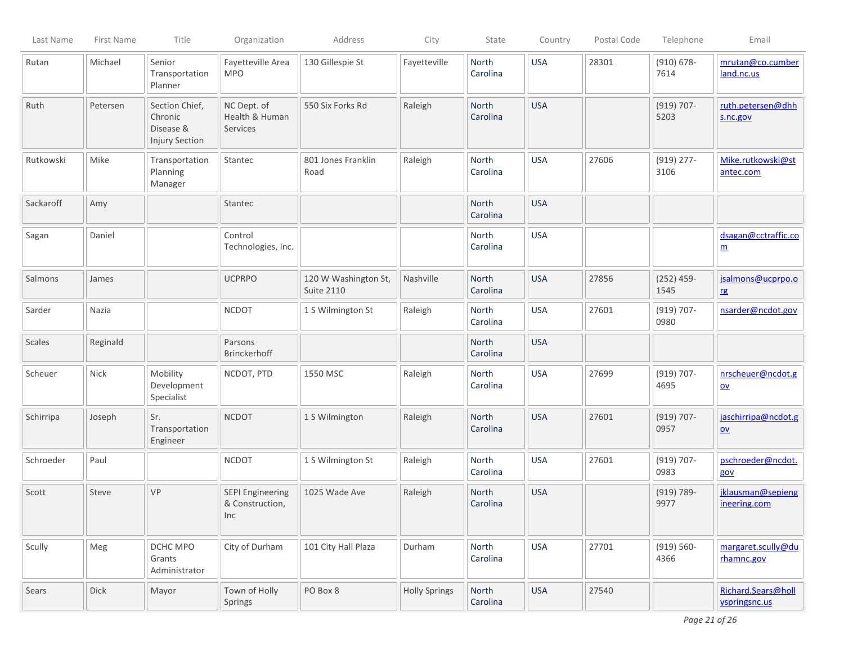| Last Name | First Name | Title                                                           | Organization                                      | Address                                   | City                 | State             | Country    | Postal Code | Telephone             | Email                                            |
|-----------|------------|-----------------------------------------------------------------|---------------------------------------------------|-------------------------------------------|----------------------|-------------------|------------|-------------|-----------------------|--------------------------------------------------|
| Rutan     | Michael    | Senior<br>Transportation<br>Planner                             | Fayetteville Area<br><b>MPO</b>                   | 130 Gillespie St                          | Fayetteville         | North<br>Carolina | <b>USA</b> | 28301       | $(910) 678 -$<br>7614 | mrutan@co.cumber<br>land.nc.us                   |
| Ruth      | Petersen   | Section Chief,<br>Chronic<br>Disease &<br><b>Injury Section</b> | NC Dept. of<br>Health & Human<br>Services         | 550 Six Forks Rd                          | Raleigh              | North<br>Carolina | <b>USA</b> |             | $(919) 707 -$<br>5203 | ruth.petersen@dhh<br>s.nc.gov                    |
| Rutkowski | Mike       | Transportation<br>Planning<br>Manager                           | Stantec                                           | 801 Jones Franklin<br>Road                | Raleigh              | North<br>Carolina | <b>USA</b> | 27606       | $(919)$ 277-<br>3106  | Mike.rutkowski@st<br>antec.com                   |
| Sackaroff | Amy        |                                                                 | Stantec                                           |                                           |                      | North<br>Carolina | <b>USA</b> |             |                       |                                                  |
| Sagan     | Daniel     |                                                                 | Control<br>Technologies, Inc.                     |                                           |                      | North<br>Carolina | <b>USA</b> |             |                       | dsagan@cctraffic.co<br>$\underline{m}$           |
| Salmons   | James      |                                                                 | <b>UCPRPO</b>                                     | 120 W Washington St,<br><b>Suite 2110</b> | Nashville            | North<br>Carolina | <b>USA</b> | 27856       | $(252)$ 459-<br>1545  | jsalmons@ucprpo.o<br>r g                         |
| Sarder    | Nazia      |                                                                 | <b>NCDOT</b>                                      | 1 S Wilmington St                         | Raleigh              | North<br>Carolina | <b>USA</b> | 27601       | $(919) 707 -$<br>0980 | nsarder@ncdot.gov                                |
| Scales    | Reginald   |                                                                 | Parsons<br><b>Brinckerhoff</b>                    |                                           |                      | North<br>Carolina | <b>USA</b> |             |                       |                                                  |
| Scheuer   | Nick       | Mobility<br>Development<br>Specialist                           | NCDOT, PTD                                        | 1550 MSC                                  | Raleigh              | North<br>Carolina | <b>USA</b> | 27699       | $(919) 707 -$<br>4695 | nrscheuer@ncdot.g<br>$\underline{\mathsf{ov}}$   |
| Schirripa | Joseph     | Sr.<br>Transportation<br>Engineer                               | <b>NCDOT</b>                                      | 1 S Wilmington                            | Raleigh              | North<br>Carolina | <b>USA</b> | 27601       | $(919) 707 -$<br>0957 | jaschirripa@ncdot.g<br>$\underline{\mathsf{ov}}$ |
| Schroeder | Paul       |                                                                 | <b>NCDOT</b>                                      | 1 S Wilmington St                         | Raleigh              | North<br>Carolina | <b>USA</b> | 27601       | $(919) 707 -$<br>0983 | pschroeder@ncdot.<br>gov                         |
| Scott     | Steve      | VP                                                              | <b>SEPI Engineering</b><br>& Construction,<br>Inc | 1025 Wade Ave                             | Raleigh              | North<br>Carolina | <b>USA</b> |             | $(919) 789 -$<br>9977 | jklausman@sepieng<br>ineering.com                |
| Scully    | Meg        | DCHC MPO<br>Grants<br>Administrator                             | City of Durham                                    | 101 City Hall Plaza                       | Durham               | North<br>Carolina | <b>USA</b> | 27701       | $(919) 560 -$<br>4366 | margaret.scully@du<br>rhamnc.gov                 |
| Sears     | Dick       | Mayor                                                           | Town of Holly<br>Springs                          | PO Box 8                                  | <b>Holly Springs</b> | North<br>Carolina | <b>USA</b> | 27540       |                       | Richard.Sears@holl<br>yspringsnc.us              |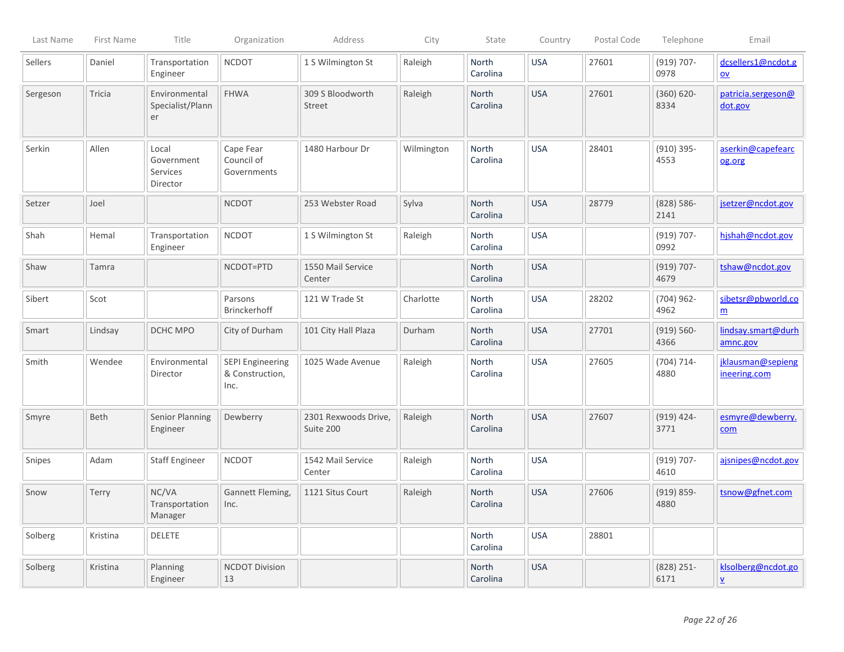| Last Name | First Name | Title                                       | Organization                                       | Address                           | City       | State                    | Country    | Postal Code | Telephone             | Email                                           |
|-----------|------------|---------------------------------------------|----------------------------------------------------|-----------------------------------|------------|--------------------------|------------|-------------|-----------------------|-------------------------------------------------|
| Sellers   | Daniel     | Transportation<br>Engineer                  | <b>NCDOT</b>                                       | 1 S Wilmington St                 | Raleigh    | North<br>Carolina        | <b>USA</b> | 27601       | $(919) 707 -$<br>0978 | dcsellers1@ncdot.g<br>$\underline{\mathsf{ov}}$ |
| Sergeson  | Tricia     | Environmental<br>Specialist/Plann<br>er     | <b>FHWA</b>                                        | 309 S Bloodworth<br>Street        | Raleigh    | North<br>Carolina        | <b>USA</b> | 27601       | $(360) 620 -$<br>8334 | patricia.sergeson@<br>dot.gov                   |
| Serkin    | Allen      | Local<br>Government<br>Services<br>Director | Cape Fear<br>Council of<br>Governments             | 1480 Harbour Dr                   | Wilmington | North<br>Carolina        | <b>USA</b> | 28401       | $(910) 395 -$<br>4553 | aserkin@capefearc<br>og.org                     |
| Setzer    | Joel       |                                             | <b>NCDOT</b>                                       | 253 Webster Road                  | Sylva      | <b>North</b><br>Carolina | <b>USA</b> | 28779       | $(828) 586 -$<br>2141 | jsetzer@ncdot.gov                               |
| Shah      | Hemal      | Transportation<br>Engineer                  | <b>NCDOT</b>                                       | 1 S Wilmington St                 | Raleigh    | North<br>Carolina        | <b>USA</b> |             | $(919) 707 -$<br>0992 | hishah@ncdot.gov                                |
| Shaw      | Tamra      |                                             | NCDOT=PTD                                          | 1550 Mail Service<br>Center       |            | North<br>Carolina        | <b>USA</b> |             | $(919) 707 -$<br>4679 | tshaw@ncdot.gov                                 |
| Sibert    | Scot       |                                             | Parsons<br>Brinckerhoff                            | 121 W Trade St                    | Charlotte  | North<br>Carolina        | <b>USA</b> | 28202       | $(704)$ 962-<br>4962  | sibetsr@pbworld.co<br>$\underline{m}$           |
| Smart     | Lindsay    | DCHC MPO                                    | City of Durham                                     | 101 City Hall Plaza               | Durham     | North<br>Carolina        | <b>USA</b> | 27701       | $(919) 560 -$<br>4366 | lindsay.smart@durh<br>amnc.gov                  |
| Smith     | Wendee     | Environmental<br>Director                   | <b>SEPI Engineering</b><br>& Construction,<br>Inc. | 1025 Wade Avenue                  | Raleigh    | North<br>Carolina        | <b>USA</b> | 27605       | $(704) 714 -$<br>4880 | jklausman@sepieng<br>ineering.com               |
| Smyre     | Beth       | Senior Planning<br>Engineer                 | Dewberry                                           | 2301 Rexwoods Drive,<br>Suite 200 | Raleigh    | North<br>Carolina        | <b>USA</b> | 27607       | $(919)$ 424-<br>3771  | esmyre@dewberry.<br>com                         |
| Snipes    | Adam       | <b>Staff Engineer</b>                       | <b>NCDOT</b>                                       | 1542 Mail Service<br>Center       | Raleigh    | <b>North</b><br>Carolina | <b>USA</b> |             | $(919) 707 -$<br>4610 | ajsnipes@ncdot.gov                              |
| Snow      | Terry      | NC/VA<br>Transportation<br>Manager          | Gannett Fleming,<br>Inc.                           | 1121 Situs Court                  | Raleigh    | <b>North</b><br>Carolina | <b>USA</b> | 27606       | $(919) 859 -$<br>4880 | tsnow@gfnet.com                                 |
| Solberg   | Kristina   | <b>DELETE</b>                               |                                                    |                                   |            | North<br>Carolina        | <b>USA</b> | 28801       |                       |                                                 |
| Solberg   | Kristina   | Planning<br>Engineer                        | <b>NCDOT Division</b><br>13                        |                                   |            | North<br>Carolina        | <b>USA</b> |             | $(828)$ 251-<br>6171  | klsolberg@ncdot.go<br>$\underline{\mathsf{v}}$  |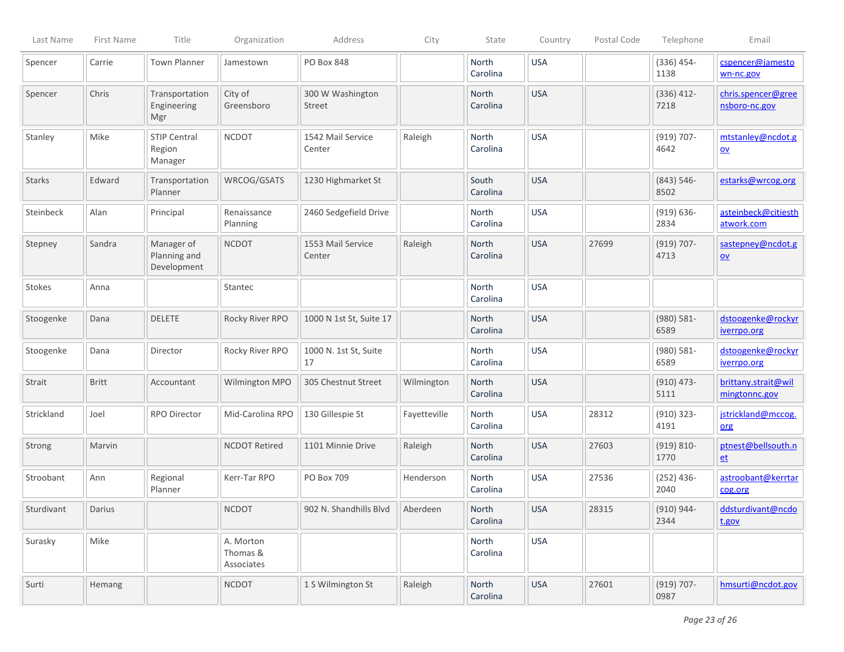| Last Name     | First Name   | Title                                     | Organization                        | Address                     | City         | State             | Country    | Postal Code | Telephone             | Email                                          |
|---------------|--------------|-------------------------------------------|-------------------------------------|-----------------------------|--------------|-------------------|------------|-------------|-----------------------|------------------------------------------------|
| Spencer       | Carrie       | <b>Town Planner</b>                       | Jamestown                           | PO Box 848                  |              | North<br>Carolina | <b>USA</b> |             | $(336)$ 454-<br>1138  | cspencer@jamesto<br>wn-nc.gov                  |
| Spencer       | Chris        | Transportation<br>Engineering<br>Mgr      | City of<br>Greensboro               | 300 W Washington<br>Street  |              | North<br>Carolina | <b>USA</b> |             | $(336)$ 412-<br>7218  | chris.spencer@gree<br>nsboro-nc.gov            |
| Stanley       | Mike         | <b>STIP Central</b><br>Region<br>Manager  | <b>NCDOT</b>                        | 1542 Mail Service<br>Center | Raleigh      | North<br>Carolina | <b>USA</b> |             | $(919) 707 -$<br>4642 | mtstanley@ncdot.g<br>$\underline{\mathsf{ov}}$ |
| <b>Starks</b> | Edward       | Transportation<br>Planner                 | WRCOG/GSATS                         | 1230 Highmarket St          |              | South<br>Carolina | <b>USA</b> |             | $(843) 546 -$<br>8502 | estarks@wrcog.org                              |
| Steinbeck     | Alan         | Principal                                 | Renaissance<br>Planning             | 2460 Sedgefield Drive       |              | North<br>Carolina | <b>USA</b> |             | $(919) 636 -$<br>2834 | asteinbeck@citiesth<br>atwork.com              |
| Stepney       | Sandra       | Manager of<br>Planning and<br>Development | <b>NCDOT</b>                        | 1553 Mail Service<br>Center | Raleigh      | North<br>Carolina | <b>USA</b> | 27699       | $(919) 707 -$<br>4713 | sastepney@ncdot.g<br>$\underline{\mathsf{ov}}$ |
| Stokes        | Anna         |                                           | Stantec                             |                             |              | North<br>Carolina | <b>USA</b> |             |                       |                                                |
| Stoogenke     | Dana         | <b>DELETE</b>                             | Rocky River RPO                     | 1000 N 1st St, Suite 17     |              | North<br>Carolina | <b>USA</b> |             | $(980) 581 -$<br>6589 | dstoogenke@rockyr<br><u>iverrpo.org</u>        |
| Stoogenke     | Dana         | Director                                  | Rocky River RPO                     | 1000 N. 1st St, Suite<br>17 |              | North<br>Carolina | <b>USA</b> |             | $(980) 581 -$<br>6589 | dstoogenke@rockyr<br><i>iverrpo.org</i>        |
| Strait        | <b>Britt</b> | Accountant                                | Wilmington MPO                      | 305 Chestnut Street         | Wilmington   | North<br>Carolina | <b>USA</b> |             | $(910)$ 473-<br>5111  | brittany.strait@wil<br>mingtonnc.gov           |
| Strickland    | Joel         | RPO Director                              | Mid-Carolina RPO                    | 130 Gillespie St            | Fayetteville | North<br>Carolina | <b>USA</b> | 28312       | $(910)$ 323-<br>4191  | jstrickland@mccog.<br>org                      |
| Strong        | Marvin       |                                           | <b>NCDOT Retired</b>                | 1101 Minnie Drive           | Raleigh      | North<br>Carolina | <b>USA</b> | 27603       | $(919) 810 -$<br>1770 | ptnest@bellsouth.n<br>et                       |
| Stroobant     | Ann          | Regional<br>Planner                       | Kerr-Tar RPO                        | PO Box 709                  | Henderson    | North<br>Carolina | <b>USA</b> | 27536       | $(252)$ 436-<br>2040  | astroobant@kerrtar<br>cog.org                  |
| Sturdivant    | Darius       |                                           | <b>NCDOT</b>                        | 902 N. Shandhills Blvd      | Aberdeen     | North<br>Carolina | <b>USA</b> | 28315       | (910) 944-<br>2344    | ddsturdivant@ncdo<br>t.gov                     |
| Surasky       | Mike         |                                           | A. Morton<br>Thomas &<br>Associates |                             |              | North<br>Carolina | <b>USA</b> |             |                       |                                                |
| Surti         | Hemang       |                                           | <b>NCDOT</b>                        | 1 S Wilmington St           | Raleigh      | North<br>Carolina | <b>USA</b> | 27601       | $(919) 707 -$<br>0987 | hmsurti@ncdot.gov                              |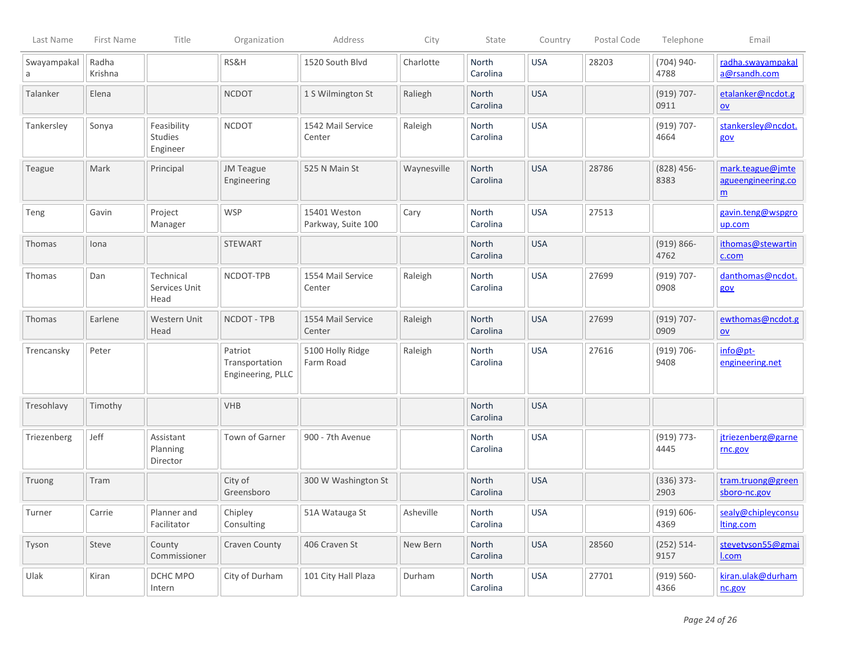| Last Name        | First Name       | Title                                     | Organization                                   | Address                            | City        | State             | Country    | Postal Code | Telephone             | Email                                                     |
|------------------|------------------|-------------------------------------------|------------------------------------------------|------------------------------------|-------------|-------------------|------------|-------------|-----------------------|-----------------------------------------------------------|
| Swayampakal<br>a | Radha<br>Krishna |                                           | RS&H                                           | 1520 South Blvd                    | Charlotte   | North<br>Carolina | <b>USA</b> | 28203       | $(704)$ 940-<br>4788  | radha.swayampakal<br>a@rsandh.com                         |
| Talanker         | Elena            |                                           | <b>NCDOT</b>                                   | 1 S Wilmington St                  | Raliegh     | North<br>Carolina | <b>USA</b> |             | $(919) 707 -$<br>0911 | etalanker@ncdot.g<br>$\underline{\mathsf{ov}}$            |
| Tankersley       | Sonya            | Feasibility<br><b>Studies</b><br>Engineer | <b>NCDOT</b>                                   | 1542 Mail Service<br>Center        | Raleigh     | North<br>Carolina | <b>USA</b> |             | $(919) 707 -$<br>4664 | stankersley@ncdot.<br>gov                                 |
| Teague           | Mark             | Principal                                 | JM Teague<br>Engineering                       | 525 N Main St                      | Waynesville | North<br>Carolina | <b>USA</b> | 28786       | $(828)$ 456-<br>8383  | mark.teague@jmte<br>agueengineering.co<br>$\underline{m}$ |
| Teng             | Gavin            | Project<br>Manager                        | <b>WSP</b>                                     | 15401 Weston<br>Parkway, Suite 100 | Cary        | North<br>Carolina | <b>USA</b> | 27513       |                       | gavin.teng@wspgro<br>up.com                               |
| <b>Thomas</b>    | Iona             |                                           | <b>STEWART</b>                                 |                                    |             | North<br>Carolina | <b>USA</b> |             | $(919) 866 -$<br>4762 | ithomas@stewartin<br>c.com                                |
| Thomas           | Dan              | Technical<br>Services Unit<br>Head        | NCDOT-TPB                                      | 1554 Mail Service<br>Center        | Raleigh     | North<br>Carolina | <b>USA</b> | 27699       | $(919) 707 -$<br>0908 | danthomas@ncdot.<br>gov                                   |
| <b>Thomas</b>    | Earlene          | Western Unit<br>Head                      | NCDOT - TPB                                    | 1554 Mail Service<br>Center        | Raleigh     | North<br>Carolina | <b>USA</b> | 27699       | $(919) 707 -$<br>0909 | ewthomas@ncdot.g<br>QV                                    |
| Trencansky       | Peter            |                                           | Patriot<br>Transportation<br>Engineering, PLLC | 5100 Holly Ridge<br>Farm Road      | Raleigh     | North<br>Carolina | <b>USA</b> | 27616       | $(919) 706 -$<br>9408 | info@pt-<br>engineering.net                               |
| Tresohlavy       | Timothy          |                                           | VHB                                            |                                    |             | North<br>Carolina | <b>USA</b> |             |                       |                                                           |
| Triezenberg      | Jeff             | Assistant<br>Planning<br>Director         | Town of Garner                                 | 900 - 7th Avenue                   |             | North<br>Carolina | <b>USA</b> |             | $(919) 773 -$<br>4445 | jtriezenberg@garne<br>rnc.gov                             |
| Truong           | Tram             |                                           | City of<br>Greensboro                          | 300 W Washington St                |             | North<br>Carolina | <b>USA</b> |             | $(336) 373 -$<br>2903 | tram.truong@green<br>sboro-nc.gov                         |
| Turner           | Carrie           | Planner and<br>Facilitator                | Chipley<br>Consulting                          | 51A Watauga St                     | Asheville   | North<br>Carolina | <b>USA</b> |             | $(919) 606 -$<br>4369 | sealy@chipleyconsu<br>lting.com                           |
| Tyson            | Steve            | County<br>Commissioner                    | Craven County                                  | 406 Craven St                      | New Bern    | North<br>Carolina | <b>USA</b> | 28560       | $(252) 514 -$<br>9157 | stevetyson55@gmai<br>I.com                                |
| Ulak             | Kiran            | DCHC MPO<br>Intern                        | City of Durham                                 | 101 City Hall Plaza                | Durham      | North<br>Carolina | <b>USA</b> | 27701       | $(919) 560 -$<br>4366 | kiran.ulak@durham<br>nc.gov                               |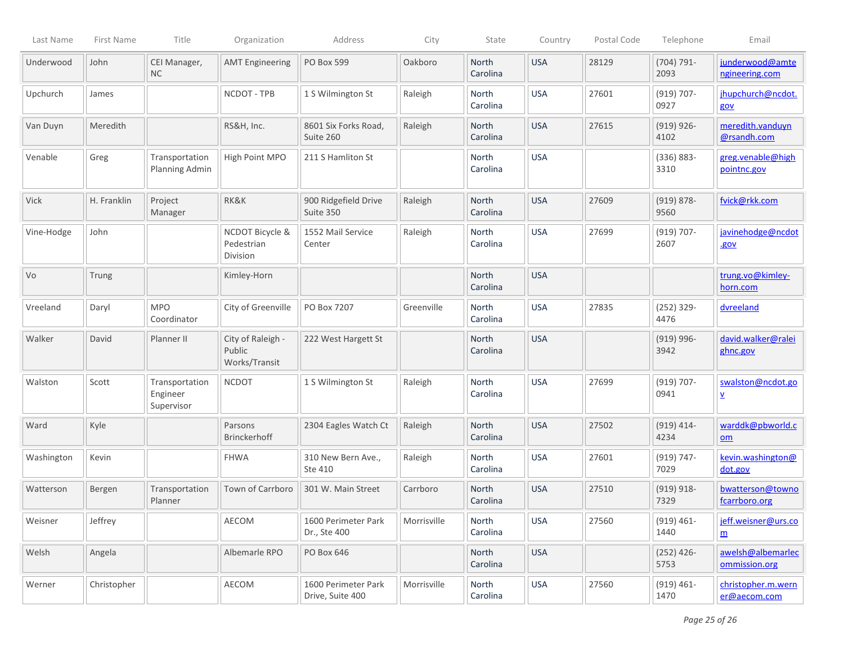| Last Name   | First Name  | Title                                    | Organization                                 | Address                                 | City        | State             | Country    | Postal Code | Telephone             | Email                                           |
|-------------|-------------|------------------------------------------|----------------------------------------------|-----------------------------------------|-------------|-------------------|------------|-------------|-----------------------|-------------------------------------------------|
| Underwood   | John        | CEI Manager,<br>NC                       | <b>AMT Engineering</b>                       | PO Box 599                              | Oakboro     | North<br>Carolina | <b>USA</b> | 28129       | $(704) 791 -$<br>2093 | junderwood@amte<br>ngineering.com               |
| Upchurch    | James       |                                          | NCDOT - TPB                                  | 1 S Wilmington St                       | Raleigh     | North<br>Carolina | <b>USA</b> | 27601       | $(919) 707 -$<br>0927 | jhupchurch@ncdot.<br>gov                        |
| Van Duyn    | Meredith    |                                          | RS&H, Inc.                                   | 8601 Six Forks Road,<br>Suite 260       | Raleigh     | North<br>Carolina | <b>USA</b> | 27615       | $(919) 926 -$<br>4102 | meredith.vanduyn<br>@rsandh.com                 |
| Venable     | Greg        | Transportation<br>Planning Admin         | High Point MPO                               | 211 S Hamliton St                       |             | North<br>Carolina | <b>USA</b> |             | $(336) 883 -$<br>3310 | greg.venable@high<br>pointnc.gov                |
| <b>Vick</b> | H. Franklin | Project<br>Manager                       | RK&K                                         | 900 Ridgefield Drive<br>Suite 350       | Raleigh     | North<br>Carolina | <b>USA</b> | 27609       | $(919) 878 -$<br>9560 | fvick@rkk.com                                   |
| Vine-Hodge  | John        |                                          | NCDOT Bicycle &<br>Pedestrian<br>Division    | 1552 Mail Service<br>Center             | Raleigh     | North<br>Carolina | <b>USA</b> | 27699       | $(919) 707 -$<br>2607 | javinehodge@ncdot<br>.gov                       |
| Vo          | Trung       |                                          | Kimley-Horn                                  |                                         |             | North<br>Carolina | <b>USA</b> |             |                       | trung.vo@kimley-<br>horn.com                    |
| Vreeland    | Daryl       | <b>MPO</b><br>Coordinator                | City of Greenville                           | PO Box 7207                             | Greenville  | North<br>Carolina | <b>USA</b> | 27835       | $(252)$ 329-<br>4476  | dvreeland                                       |
| Walker      | David       | Planner II                               | City of Raleigh -<br>Public<br>Works/Transit | 222 West Hargett St                     |             | North<br>Carolina | <b>USA</b> |             | $(919) 996 -$<br>3942 | david.walker@ralei<br>ghnc.gov                  |
| Walston     | Scott       | Transportation<br>Engineer<br>Supervisor | <b>NCDOT</b>                                 | 1 S Wilmington St                       | Raleigh     | North<br>Carolina | <b>USA</b> | 27699       | $(919) 707 -$<br>0941 | swalston@ncdot.go<br>$\overline{\Lambda}$       |
| Ward        | Kyle        |                                          | Parsons<br><b>Brinckerhoff</b>               | 2304 Eagles Watch Ct                    | Raleigh     | North<br>Carolina | <b>USA</b> | 27502       | $(919)$ 414-<br>4234  | warddk@pbworld.c<br>$\underline{\mathsf{om}}$   |
| Washington  | Kevin       |                                          | <b>FHWA</b>                                  | 310 New Bern Ave.,<br>Ste 410           | Raleigh     | North<br>Carolina | <b>USA</b> | 27601       | $(919) 747 -$<br>7029 | kevin.washington@<br>dot.gov                    |
| Watterson   | Bergen      | Transportation<br>Planner                | Town of Carrboro                             | 301 W. Main Street                      | Carrboro    | North<br>Carolina | <b>USA</b> | 27510       | $(919) 918 -$<br>7329 | bwatterson@towno<br>fcarrboro.org               |
| Weisner     | Jeffrey     |                                          | AECOM                                        | 1600 Perimeter Park<br>Dr., Ste 400     | Morrisville | North<br>Carolina | <b>USA</b> | 27560       | $(919) 461 -$<br>1440 | jeff.weisner@urs.co<br>$\underline{\mathbf{m}}$ |
| Welsh       | Angela      |                                          | Albemarle RPO                                | PO Box 646                              |             | North<br>Carolina | <b>USA</b> |             | $(252)$ 426-<br>5753  | awelsh@albemarlec<br>ommission.org              |
| Werner      | Christopher |                                          | AECOM                                        | 1600 Perimeter Park<br>Drive, Suite 400 | Morrisville | North<br>Carolina | <b>USA</b> | 27560       | $(919) 461 -$<br>1470 | christopher.m.wern<br>er@aecom.com              |